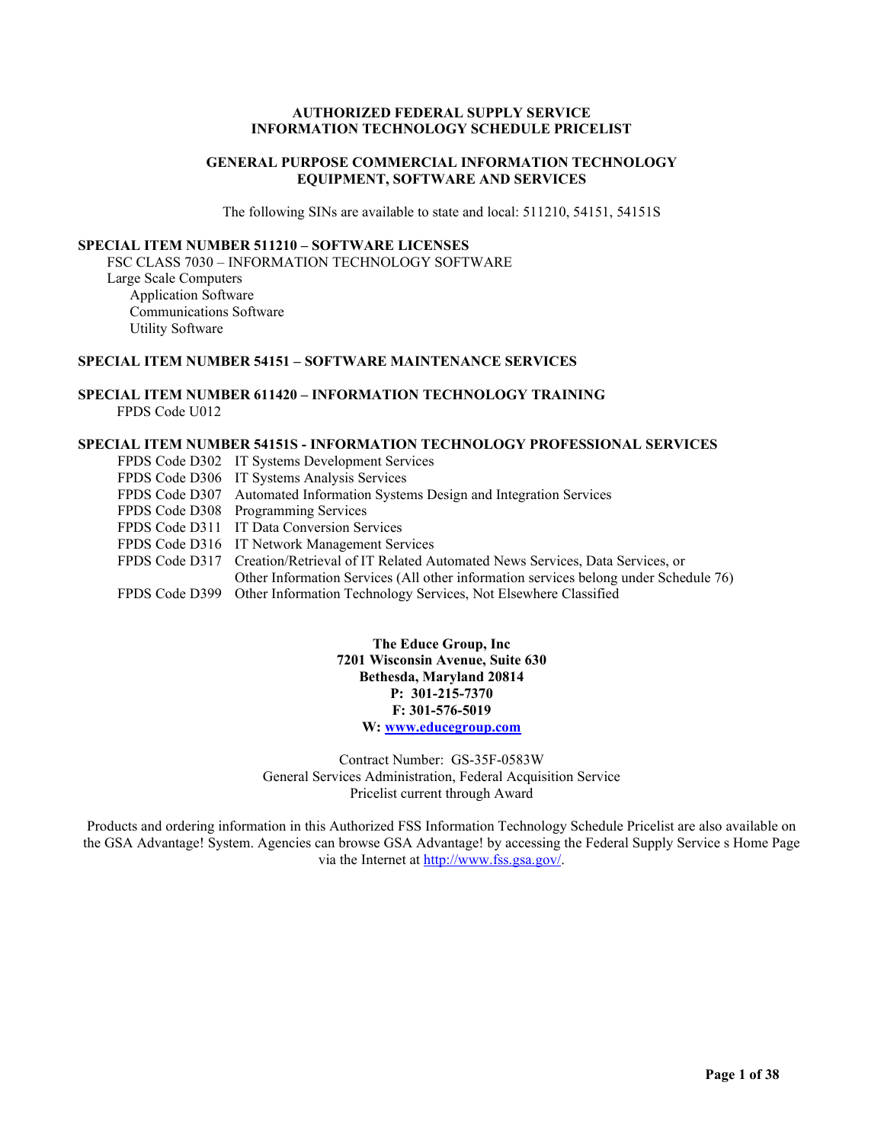## **AUTHORIZED FEDERAL SUPPLY SERVICE INFORMATION TECHNOLOGY SCHEDULE PRICELIST**

## **GENERAL PURPOSE COMMERCIAL INFORMATION TECHNOLOGY EQUIPMENT, SOFTWARE AND SERVICES**

The following SINs are available to state and local: 511210, 54151, 54151S

#### **SPECIAL ITEM NUMBER 511210 – SOFTWARE LICENSES**

 FSC CLASS 7030 – INFORMATION TECHNOLOGY SOFTWARE Large Scale Computers Application Software Communications Software Utility Software

## **SPECIAL ITEM NUMBER 54151 – SOFTWARE MAINTENANCE SERVICES**

## **SPECIAL ITEM NUMBER 611420 – INFORMATION TECHNOLOGY TRAINING** FPDS Code U012

## **SPECIAL ITEM NUMBER 54151S - INFORMATION TECHNOLOGY PROFESSIONAL SERVICES**

| FPDS Code D302 IT Systems Development Services                                             |
|--------------------------------------------------------------------------------------------|
| FPDS Code D306 IT Systems Analysis Services                                                |
| FPDS Code D307 Automated Information Systems Design and Integration Services               |
| FPDS Code D308 Programming Services                                                        |
| FPDS Code D311 IT Data Conversion Services                                                 |
| FPDS Code D316 IT Network Management Services                                              |
| FPDS Code D317 Creation/Retrieval of IT Related Automated News Services, Data Services, or |
| Other Information Services (All other information services belong under Schedule 76)       |
| FPDS Code D399 Other Information Technology Services, Not Elsewhere Classified             |
|                                                                                            |

**The Educe Group, Inc 7201 Wisconsin Avenue, Suite 630 Bethesda, Maryland 20814 P: 301-215-7370 F: 301-576-5019 W[: www.educegroup.com](http://www.educegroup.com/)**

Contract Number: GS-35F-0583W General Services Administration, Federal Acquisition Service Pricelist current through Award

Products and ordering information in this Authorized FSS Information Technology Schedule Pricelist are also available on the GSA Advantage! System. Agencies can browse GSA Advantage! by accessing the Federal Supply Service s Home Page via the Internet at [http://www.fss.gsa.gov/.](http://www.fss.gsa.gov/)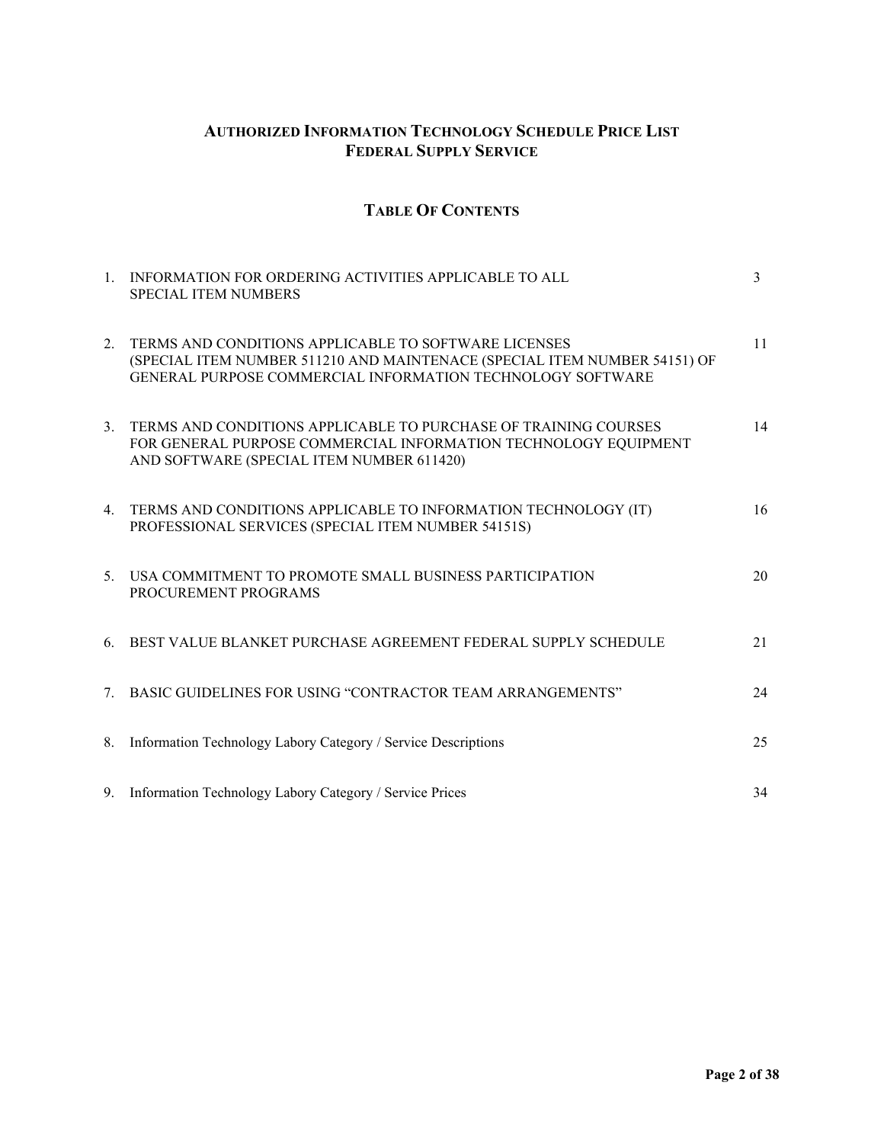# **AUTHORIZED INFORMATION TECHNOLOGY SCHEDULE PRICE LIST FEDERAL SUPPLY SERVICE**

# **TABLE OF CONTENTS**

|                                  | 1. INFORMATION FOR ORDERING ACTIVITIES APPLICABLE TO ALL<br><b>SPECIAL ITEM NUMBERS</b>                                                                                                         | 3  |
|----------------------------------|-------------------------------------------------------------------------------------------------------------------------------------------------------------------------------------------------|----|
| 2.                               | TERMS AND CONDITIONS APPLICABLE TO SOFTWARE LICENSES<br>(SPECIAL ITEM NUMBER 511210 AND MAINTENACE (SPECIAL ITEM NUMBER 54151) OF<br>GENERAL PURPOSE COMMERCIAL INFORMATION TECHNOLOGY SOFTWARE | 11 |
|                                  | 3. TERMS AND CONDITIONS APPLICABLE TO PURCHASE OF TRAINING COURSES<br>FOR GENERAL PURPOSE COMMERCIAL INFORMATION TECHNOLOGY EQUIPMENT<br>AND SOFTWARE (SPECIAL ITEM NUMBER 611420)              | 14 |
|                                  | 4. TERMS AND CONDITIONS APPLICABLE TO INFORMATION TECHNOLOGY (IT)<br>PROFESSIONAL SERVICES (SPECIAL ITEM NUMBER 54151S)                                                                         | 16 |
| 5 <sub>1</sub>                   | USA COMMITMENT TO PROMOTE SMALL BUSINESS PARTICIPATION<br>PROCUREMENT PROGRAMS                                                                                                                  | 20 |
| 6.                               | BEST VALUE BLANKET PURCHASE AGREEMENT FEDERAL SUPPLY SCHEDULE                                                                                                                                   | 21 |
| $7_{\scriptscriptstyle{\ddots}}$ | <b>BASIC GUIDELINES FOR USING "CONTRACTOR TEAM ARRANGEMENTS"</b>                                                                                                                                | 24 |
| 8.                               | Information Technology Labory Category / Service Descriptions                                                                                                                                   | 25 |
| 9.                               | Information Technology Labory Category / Service Prices                                                                                                                                         | 34 |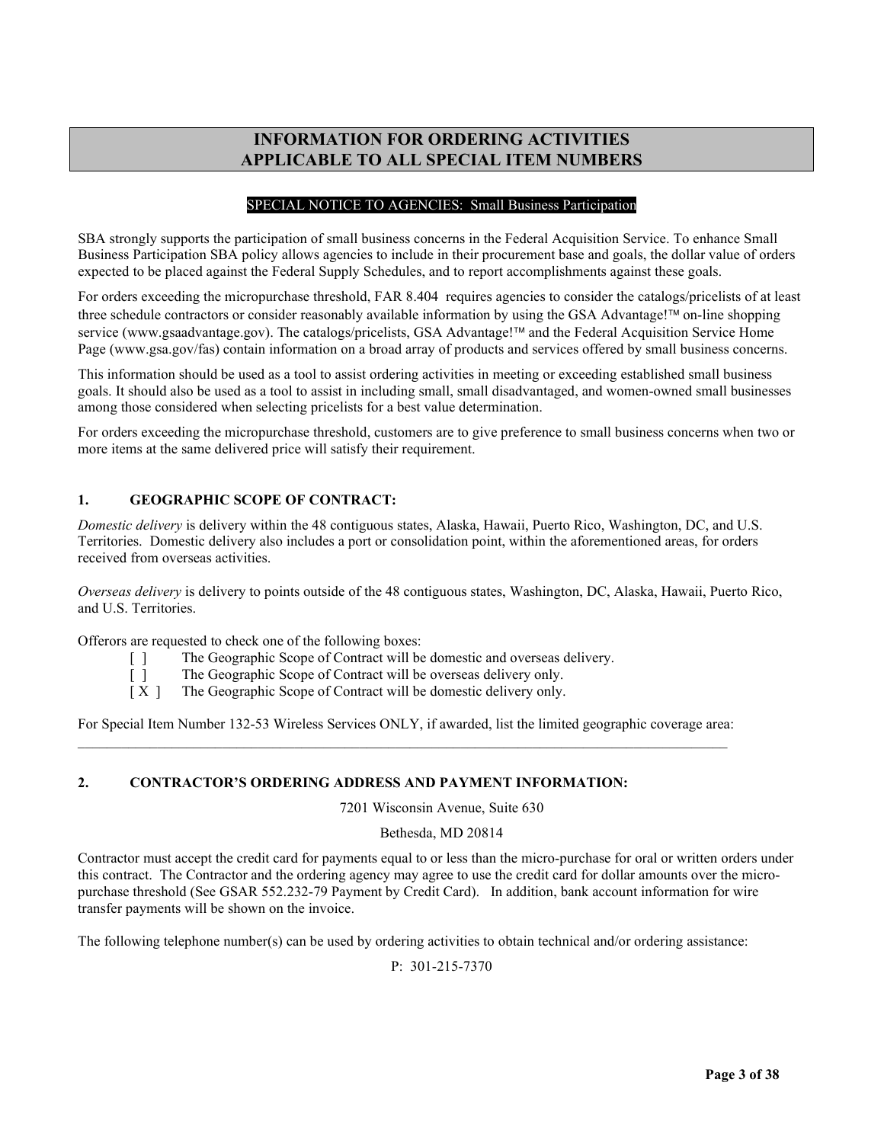# **INFORMATION FOR ORDERING ACTIVITIES APPLICABLE TO ALL SPECIAL ITEM NUMBERS**

## SPECIAL NOTICE TO AGENCIES: Small Business Participation

SBA strongly supports the participation of small business concerns in the Federal Acquisition Service. To enhance Small Business Participation SBA policy allows agencies to include in their procurement base and goals, the dollar value of orders expected to be placed against the Federal Supply Schedules, and to report accomplishments against these goals.

For orders exceeding the micropurchase threshold, FAR 8.404 requires agencies to consider the catalogs/pricelists of at least three schedule contractors or consider reasonably available information by using the GSA Advantage!™ on-line shopping service (www.gsaadvantage.gov). The catalogs/pricelists, GSA Advantage!<sup>™</sup> and the Federal Acquisition Service Home Page (www.gsa.gov/fas) contain information on a broad array of products and services offered by small business concerns.

This information should be used as a tool to assist ordering activities in meeting or exceeding established small business goals. It should also be used as a tool to assist in including small, small disadvantaged, and women-owned small businesses among those considered when selecting pricelists for a best value determination.

For orders exceeding the micropurchase threshold, customers are to give preference to small business concerns when two or more items at the same delivered price will satisfy their requirement.

## **1. GEOGRAPHIC SCOPE OF CONTRACT:**

*Domestic delivery* is delivery within the 48 contiguous states, Alaska, Hawaii, Puerto Rico, Washington, DC, and U.S. Territories. Domestic delivery also includes a port or consolidation point, within the aforementioned areas, for orders received from overseas activities.

*Overseas delivery* is delivery to points outside of the 48 contiguous states, Washington, DC, Alaska, Hawaii, Puerto Rico, and U.S. Territories.

Offerors are requested to check one of the following boxes:

- [] The Geographic Scope of Contract will be domestic and overseas delivery.
- [ ] The Geographic Scope of Contract will be overseas delivery only.<br>
[ X ] The Geographic Scope of Contract will be domestic delivery only.
- The Geographic Scope of Contract will be domestic delivery only.

For Special Item Number 132-53 Wireless Services ONLY, if awarded, list the limited geographic coverage area: \_\_\_\_\_\_\_\_\_\_\_\_\_\_\_\_\_\_\_\_\_\_\_\_\_\_\_\_\_\_\_\_\_\_\_\_\_\_\_\_\_\_\_\_\_\_\_\_\_\_\_\_\_\_\_\_\_\_\_\_\_\_\_\_\_\_\_\_\_\_\_\_\_\_\_\_\_\_\_\_\_\_\_\_\_\_\_\_\_\_

## **2. CONTRACTOR'S ORDERING ADDRESS AND PAYMENT INFORMATION:**

7201 Wisconsin Avenue, Suite 630

Bethesda, MD 20814

Contractor must accept the credit card for payments equal to or less than the micro-purchase for oral or written orders under this contract. The Contractor and the ordering agency may agree to use the credit card for dollar amounts over the micropurchase threshold (See GSAR 552.232-79 Payment by Credit Card). In addition, bank account information for wire transfer payments will be shown on the invoice.

The following telephone number(s) can be used by ordering activities to obtain technical and/or ordering assistance:

P: 301-215-7370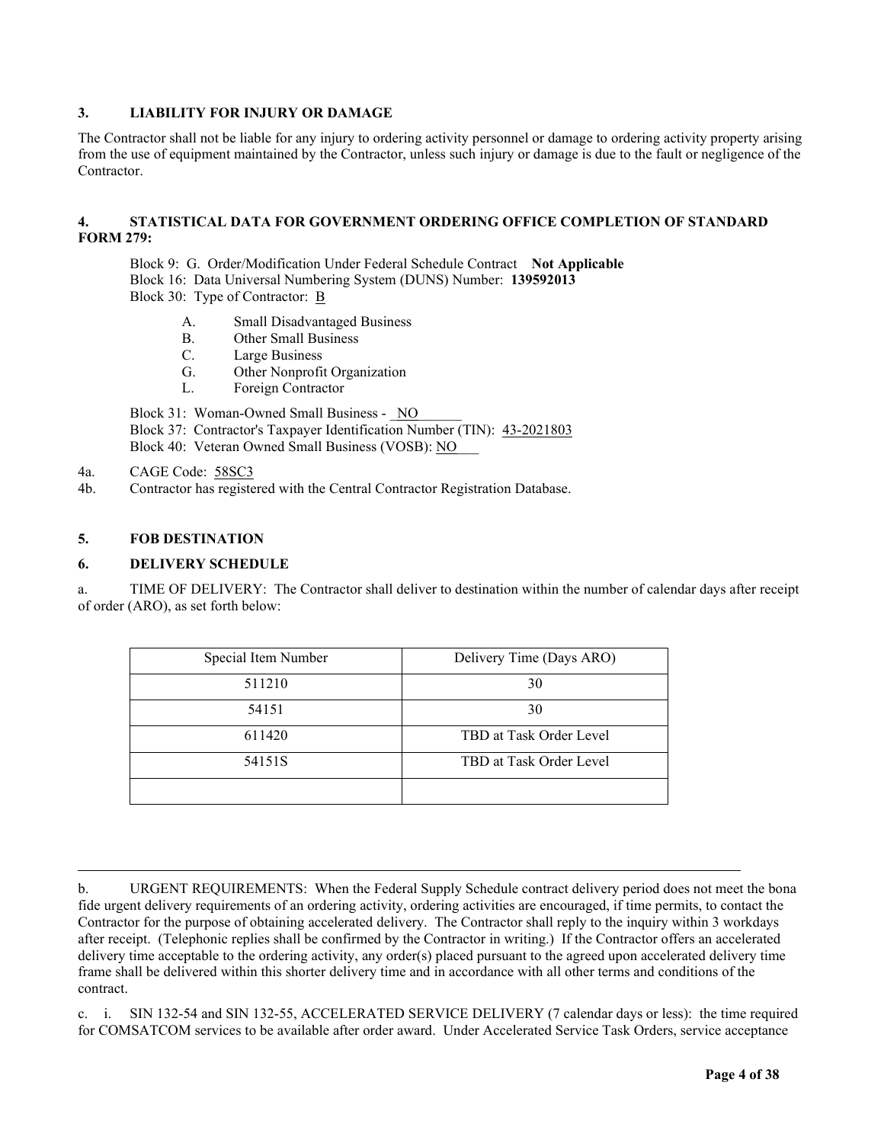## **3. LIABILITY FOR INJURY OR DAMAGE**

The Contractor shall not be liable for any injury to ordering activity personnel or damage to ordering activity property arising from the use of equipment maintained by the Contractor, unless such injury or damage is due to the fault or negligence of the **Contractor** 

## **4. STATISTICAL DATA FOR GOVERNMENT ORDERING OFFICE COMPLETION OF STANDARD FORM 279:**

Block 9: G. Order/Modification Under Federal Schedule Contract **Not Applicable** Block 16: Data Universal Numbering System (DUNS) Number: **139592013** Block 30: Type of Contractor: B

- A. Small Disadvantaged Business
- B. Other Small Business
- C. Large Business
- G. Other Nonprofit Organization
- L. Foreign Contractor

Block 31: Woman-Owned Small Business - NO Block 37: Contractor's Taxpayer Identification Number (TIN): 43-2021803 Block 40: Veteran Owned Small Business (VOSB): NO\_\_\_

4a. CAGE Code: 58SC3

4b. Contractor has registered with the Central Contractor Registration Database.

## **5. FOB DESTINATION**

## **6. DELIVERY SCHEDULE**

a. TIME OF DELIVERY: The Contractor shall deliver to destination within the number of calendar days after receipt of order (ARO), as set forth below:

| Special Item Number | Delivery Time (Days ARO) |
|---------------------|--------------------------|
| 511210              | 30                       |
| 54151               | 30                       |
| 611420              | TBD at Task Order Level  |
| 54151S              | TBD at Task Order Level  |
|                     |                          |

c. i. SIN 132-54 and SIN 132-55, ACCELERATED SERVICE DELIVERY (7 calendar days or less): the time required for COMSATCOM services to be available after order award. Under Accelerated Service Task Orders, service acceptance

b. URGENT REQUIREMENTS: When the Federal Supply Schedule contract delivery period does not meet the bona fide urgent delivery requirements of an ordering activity, ordering activities are encouraged, if time permits, to contact the Contractor for the purpose of obtaining accelerated delivery. The Contractor shall reply to the inquiry within 3 workdays after receipt. (Telephonic replies shall be confirmed by the Contractor in writing.) If the Contractor offers an accelerated delivery time acceptable to the ordering activity, any order(s) placed pursuant to the agreed upon accelerated delivery time frame shall be delivered within this shorter delivery time and in accordance with all other terms and conditions of the contract.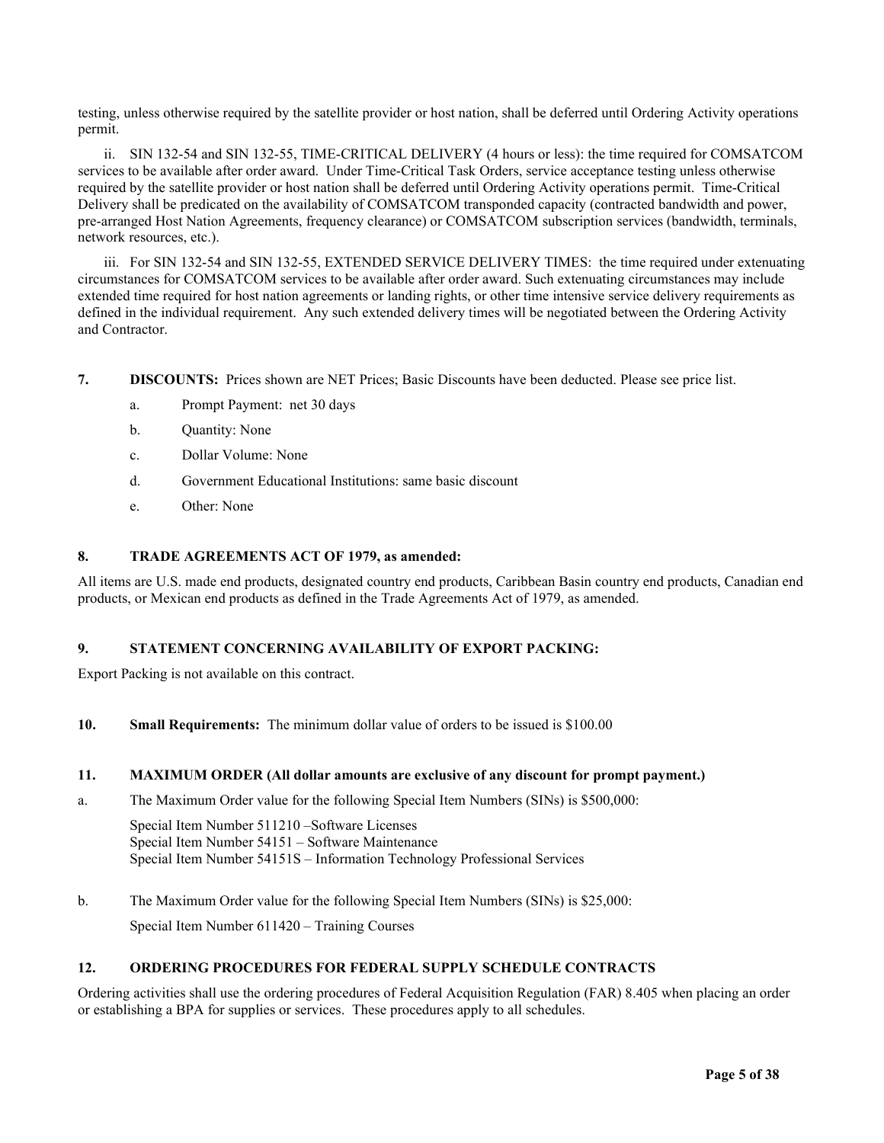testing, unless otherwise required by the satellite provider or host nation, shall be deferred until Ordering Activity operations permit.

ii. SIN 132-54 and SIN 132-55, TIME-CRITICAL DELIVERY (4 hours or less): the time required for COMSATCOM services to be available after order award. Under Time-Critical Task Orders, service acceptance testing unless otherwise required by the satellite provider or host nation shall be deferred until Ordering Activity operations permit. Time-Critical Delivery shall be predicated on the availability of COMSATCOM transponded capacity (contracted bandwidth and power, pre-arranged Host Nation Agreements, frequency clearance) or COMSATCOM subscription services (bandwidth, terminals, network resources, etc.).

iii. For SIN 132-54 and SIN 132-55, EXTENDED SERVICE DELIVERY TIMES: the time required under extenuating circumstances for COMSATCOM services to be available after order award. Such extenuating circumstances may include extended time required for host nation agreements or landing rights, or other time intensive service delivery requirements as defined in the individual requirement. Any such extended delivery times will be negotiated between the Ordering Activity and Contractor.

**7. DISCOUNTS:** Prices shown are NET Prices; Basic Discounts have been deducted. Please see price list.

- a. Prompt Payment: net 30 days
- b. Quantity: None
- c. Dollar Volume: None
- d. Government Educational Institutions: same basic discount
- e. Other: None

### **8. TRADE AGREEMENTS ACT OF 1979, as amended:**

All items are U.S. made end products, designated country end products, Caribbean Basin country end products, Canadian end products, or Mexican end products as defined in the Trade Agreements Act of 1979, as amended.

## **9. STATEMENT CONCERNING AVAILABILITY OF EXPORT PACKING:**

Export Packing is not available on this contract.

**10. Small Requirements:** The minimum dollar value of orders to be issued is \$100.00

#### **11. MAXIMUM ORDER (All dollar amounts are exclusive of any discount for prompt payment.)**

a. The Maximum Order value for the following Special Item Numbers (SINs) is \$500,000:

Special Item Number 511210 –Software Licenses Special Item Number 54151 – Software Maintenance Special Item Number 54151S – Information Technology Professional Services

b. The Maximum Order value for the following Special Item Numbers (SINs) is \$25,000:

Special Item Number 611420 – Training Courses

## **12. ORDERING PROCEDURES FOR FEDERAL SUPPLY SCHEDULE CONTRACTS**

Ordering activities shall use the ordering procedures of Federal Acquisition Regulation (FAR) 8.405 when placing an order or establishing a BPA for supplies or services. These procedures apply to all schedules.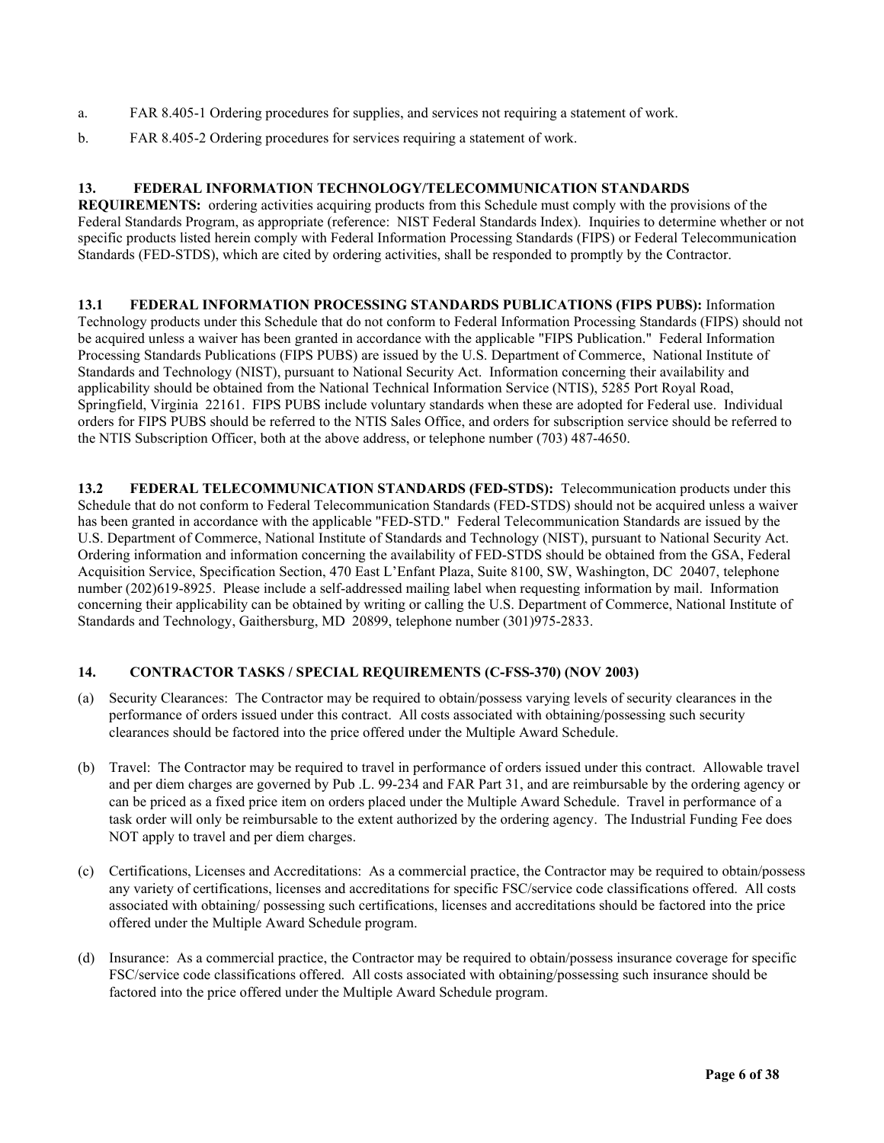- a. FAR 8.405-1 Ordering procedures for supplies, and services not requiring a statement of work.
- b. FAR 8.405-2 Ordering procedures for services requiring a statement of work.

## **13. FEDERAL INFORMATION TECHNOLOGY/TELECOMMUNICATION STANDARDS**

**REQUIREMENTS:** ordering activities acquiring products from this Schedule must comply with the provisions of the Federal Standards Program, as appropriate (reference: NIST Federal Standards Index). Inquiries to determine whether or not specific products listed herein comply with Federal Information Processing Standards (FIPS) or Federal Telecommunication Standards (FED-STDS), which are cited by ordering activities, shall be responded to promptly by the Contractor.

## **13.1 FEDERAL INFORMATION PROCESSING STANDARDS PUBLICATIONS (FIPS PUBS):** Information Technology products under this Schedule that do not conform to Federal Information Processing Standards (FIPS) should not be acquired unless a waiver has been granted in accordance with the applicable "FIPS Publication." Federal Information Processing Standards Publications (FIPS PUBS) are issued by the U.S. Department of Commerce, National Institute of Standards and Technology (NIST), pursuant to National Security Act. Information concerning their availability and applicability should be obtained from the National Technical Information Service (NTIS), 5285 Port Royal Road, Springfield, Virginia 22161. FIPS PUBS include voluntary standards when these are adopted for Federal use. Individual orders for FIPS PUBS should be referred to the NTIS Sales Office, and orders for subscription service should be referred to the NTIS Subscription Officer, both at the above address, or telephone number (703) 487-4650.

**13.2 FEDERAL TELECOMMUNICATION STANDARDS (FED-STDS):** Telecommunication products under this Schedule that do not conform to Federal Telecommunication Standards (FED-STDS) should not be acquired unless a waiver has been granted in accordance with the applicable "FED-STD." Federal Telecommunication Standards are issued by the U.S. Department of Commerce, National Institute of Standards and Technology (NIST), pursuant to National Security Act. Ordering information and information concerning the availability of FED-STDS should be obtained from the GSA, Federal Acquisition Service, Specification Section, 470 East L'Enfant Plaza, Suite 8100, SW, Washington, DC 20407, telephone number (202)619-8925. Please include a self-addressed mailing label when requesting information by mail. Information concerning their applicability can be obtained by writing or calling the U.S. Department of Commerce, National Institute of Standards and Technology, Gaithersburg, MD 20899, telephone number (301)975-2833.

## **14. CONTRACTOR TASKS / SPECIAL REQUIREMENTS (C-FSS-370) (NOV 2003)**

- (a) Security Clearances: The Contractor may be required to obtain/possess varying levels of security clearances in the performance of orders issued under this contract. All costs associated with obtaining/possessing such security clearances should be factored into the price offered under the Multiple Award Schedule.
- (b) Travel: The Contractor may be required to travel in performance of orders issued under this contract. Allowable travel and per diem charges are governed by Pub .L. 99-234 and FAR Part 31, and are reimbursable by the ordering agency or can be priced as a fixed price item on orders placed under the Multiple Award Schedule. Travel in performance of a task order will only be reimbursable to the extent authorized by the ordering agency. The Industrial Funding Fee does NOT apply to travel and per diem charges.
- (c) Certifications, Licenses and Accreditations: As a commercial practice, the Contractor may be required to obtain/possess any variety of certifications, licenses and accreditations for specific FSC/service code classifications offered. All costs associated with obtaining/ possessing such certifications, licenses and accreditations should be factored into the price offered under the Multiple Award Schedule program.
- (d) Insurance: As a commercial practice, the Contractor may be required to obtain/possess insurance coverage for specific FSC/service code classifications offered. All costs associated with obtaining/possessing such insurance should be factored into the price offered under the Multiple Award Schedule program.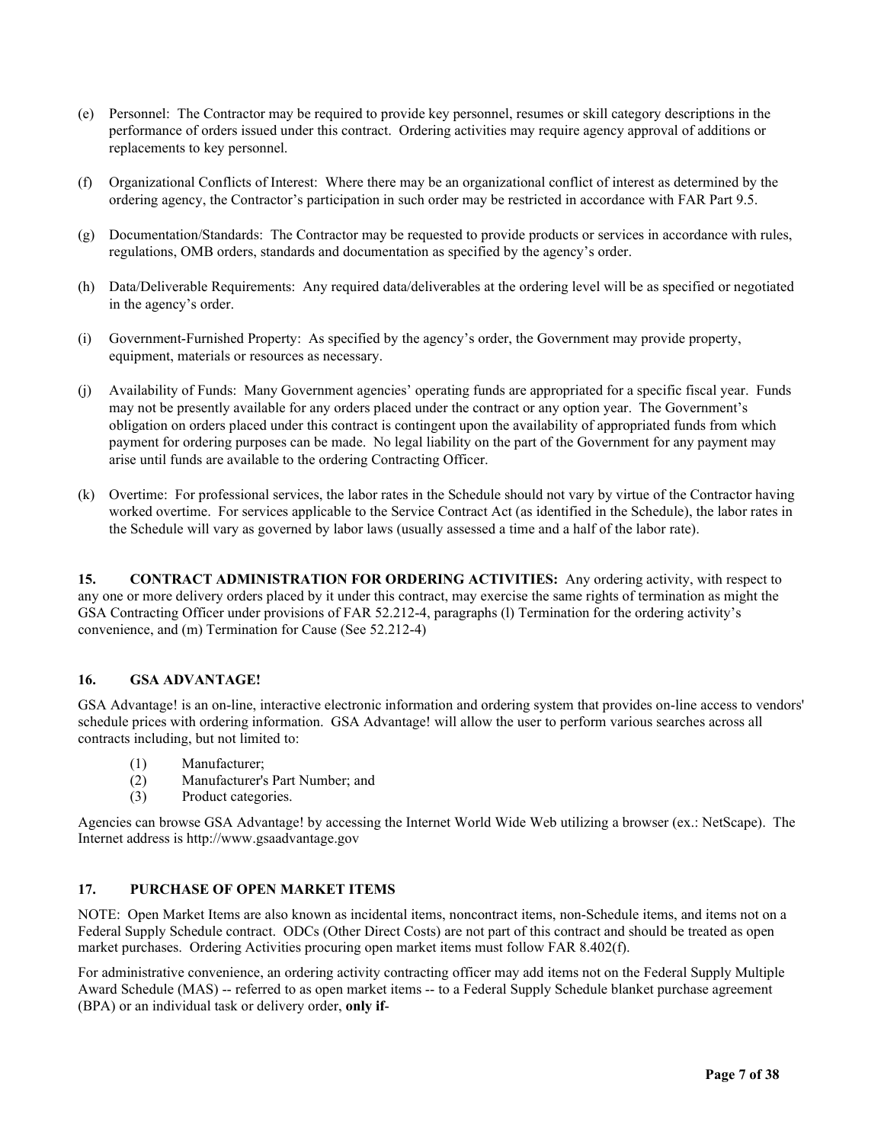- (e) Personnel: The Contractor may be required to provide key personnel, resumes or skill category descriptions in the performance of orders issued under this contract. Ordering activities may require agency approval of additions or replacements to key personnel.
- (f) Organizational Conflicts of Interest: Where there may be an organizational conflict of interest as determined by the ordering agency, the Contractor's participation in such order may be restricted in accordance with FAR Part 9.5.
- (g) Documentation/Standards: The Contractor may be requested to provide products or services in accordance with rules, regulations, OMB orders, standards and documentation as specified by the agency's order.
- (h) Data/Deliverable Requirements: Any required data/deliverables at the ordering level will be as specified or negotiated in the agency's order.
- (i) Government-Furnished Property: As specified by the agency's order, the Government may provide property, equipment, materials or resources as necessary.
- (j) Availability of Funds: Many Government agencies' operating funds are appropriated for a specific fiscal year. Funds may not be presently available for any orders placed under the contract or any option year. The Government's obligation on orders placed under this contract is contingent upon the availability of appropriated funds from which payment for ordering purposes can be made. No legal liability on the part of the Government for any payment may arise until funds are available to the ordering Contracting Officer.
- (k) Overtime: For professional services, the labor rates in the Schedule should not vary by virtue of the Contractor having worked overtime. For services applicable to the Service Contract Act (as identified in the Schedule), the labor rates in the Schedule will vary as governed by labor laws (usually assessed a time and a half of the labor rate).

**15. CONTRACT ADMINISTRATION FOR ORDERING ACTIVITIES:** Any ordering activity, with respect to any one or more delivery orders placed by it under this contract, may exercise the same rights of termination as might the GSA Contracting Officer under provisions of FAR 52.212-4, paragraphs (l) Termination for the ordering activity's convenience, and (m) Termination for Cause (See 52.212-4)

## **16. GSA ADVANTAGE!**

GSA Advantage! is an on-line, interactive electronic information and ordering system that provides on-line access to vendors' schedule prices with ordering information. GSA Advantage! will allow the user to perform various searches across all contracts including, but not limited to:

- (1) Manufacturer;
- (2) Manufacturer's Part Number; and
- (3) Product categories.

Agencies can browse GSA Advantage! by accessing the Internet World Wide Web utilizing a browser (ex.: NetScape). The Internet address is http://www.gsaadvantage.gov

## **17. PURCHASE OF OPEN MARKET ITEMS**

NOTE: Open Market Items are also known as incidental items, noncontract items, non-Schedule items, and items not on a Federal Supply Schedule contract. ODCs (Other Direct Costs) are not part of this contract and should be treated as open market purchases. Ordering Activities procuring open market items must follow FAR 8.402(f).

For administrative convenience, an ordering activity contracting officer may add items not on the Federal Supply Multiple Award Schedule (MAS) -- referred to as open market items -- to a Federal Supply Schedule blanket purchase agreement (BPA) or an individual task or delivery order, **only if**-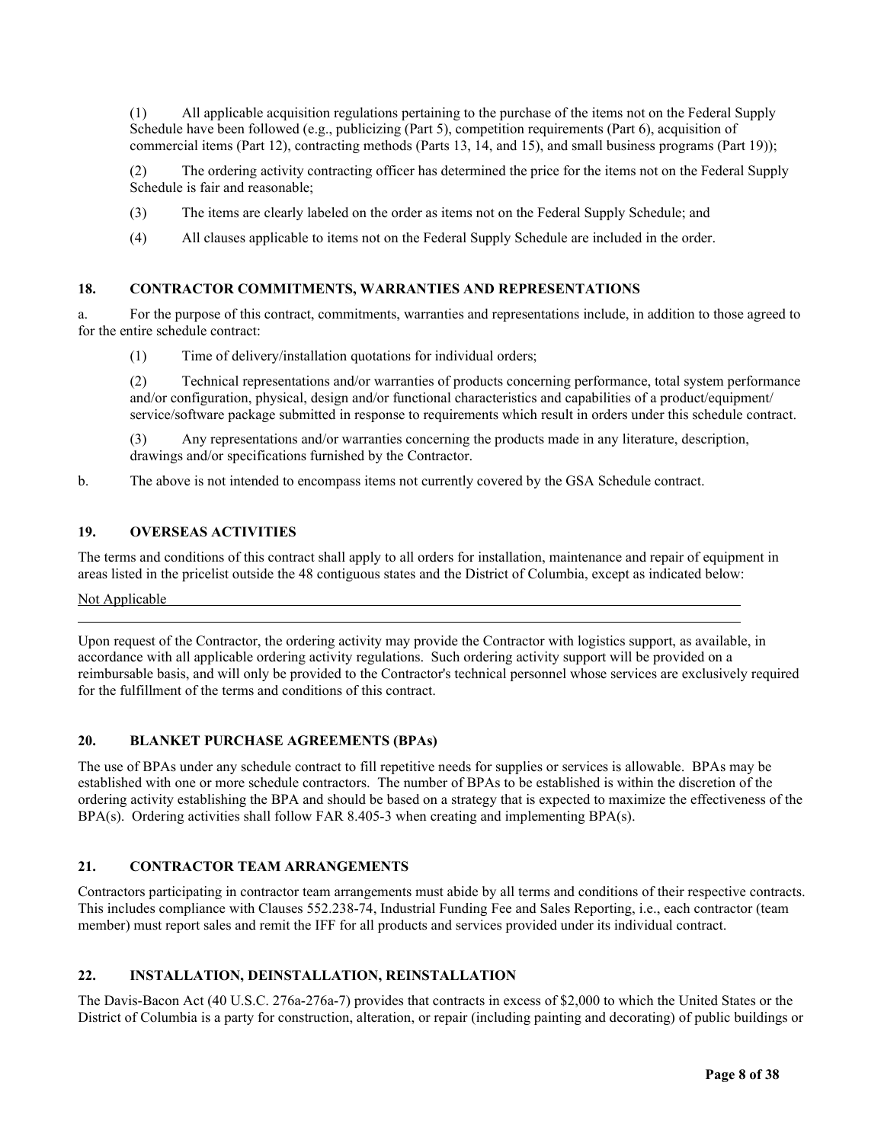(1) All applicable acquisition regulations pertaining to the purchase of the items not on the Federal Supply Schedule have been followed (e.g., publicizing (Part 5), competition requirements (Part 6), acquisition of commercial items (Part 12), contracting methods (Parts 13, 14, and 15), and small business programs (Part 19));

(2) The ordering activity contracting officer has determined the price for the items not on the Federal Supply Schedule is fair and reasonable;

- (3) The items are clearly labeled on the order as items not on the Federal Supply Schedule; and
- (4) All clauses applicable to items not on the Federal Supply Schedule are included in the order.

## **18. CONTRACTOR COMMITMENTS, WARRANTIES AND REPRESENTATIONS**

a. For the purpose of this contract, commitments, warranties and representations include, in addition to those agreed to for the entire schedule contract:

(1) Time of delivery/installation quotations for individual orders;

(2) Technical representations and/or warranties of products concerning performance, total system performance and/or configuration, physical, design and/or functional characteristics and capabilities of a product/equipment/ service/software package submitted in response to requirements which result in orders under this schedule contract.

(3) Any representations and/or warranties concerning the products made in any literature, description, drawings and/or specifications furnished by the Contractor.

b. The above is not intended to encompass items not currently covered by the GSA Schedule contract.

## **19. OVERSEAS ACTIVITIES**

The terms and conditions of this contract shall apply to all orders for installation, maintenance and repair of equipment in areas listed in the pricelist outside the 48 contiguous states and the District of Columbia, except as indicated below:

#### Not Applicable

Upon request of the Contractor, the ordering activity may provide the Contractor with logistics support, as available, in accordance with all applicable ordering activity regulations. Such ordering activity support will be provided on a reimbursable basis, and will only be provided to the Contractor's technical personnel whose services are exclusively required for the fulfillment of the terms and conditions of this contract.

#### **20. BLANKET PURCHASE AGREEMENTS (BPAs)**

The use of BPAs under any schedule contract to fill repetitive needs for supplies or services is allowable. BPAs may be established with one or more schedule contractors. The number of BPAs to be established is within the discretion of the ordering activity establishing the BPA and should be based on a strategy that is expected to maximize the effectiveness of the BPA(s). Ordering activities shall follow FAR 8.405-3 when creating and implementing BPA(s).

#### **21. CONTRACTOR TEAM ARRANGEMENTS**

Contractors participating in contractor team arrangements must abide by all terms and conditions of their respective contracts. This includes compliance with Clauses 552.238-74, Industrial Funding Fee and Sales Reporting, i.e., each contractor (team member) must report sales and remit the IFF for all products and services provided under its individual contract.

## **22. INSTALLATION, DEINSTALLATION, REINSTALLATION**

The Davis-Bacon Act (40 U.S.C. 276a-276a-7) provides that contracts in excess of \$2,000 to which the United States or the District of Columbia is a party for construction, alteration, or repair (including painting and decorating) of public buildings or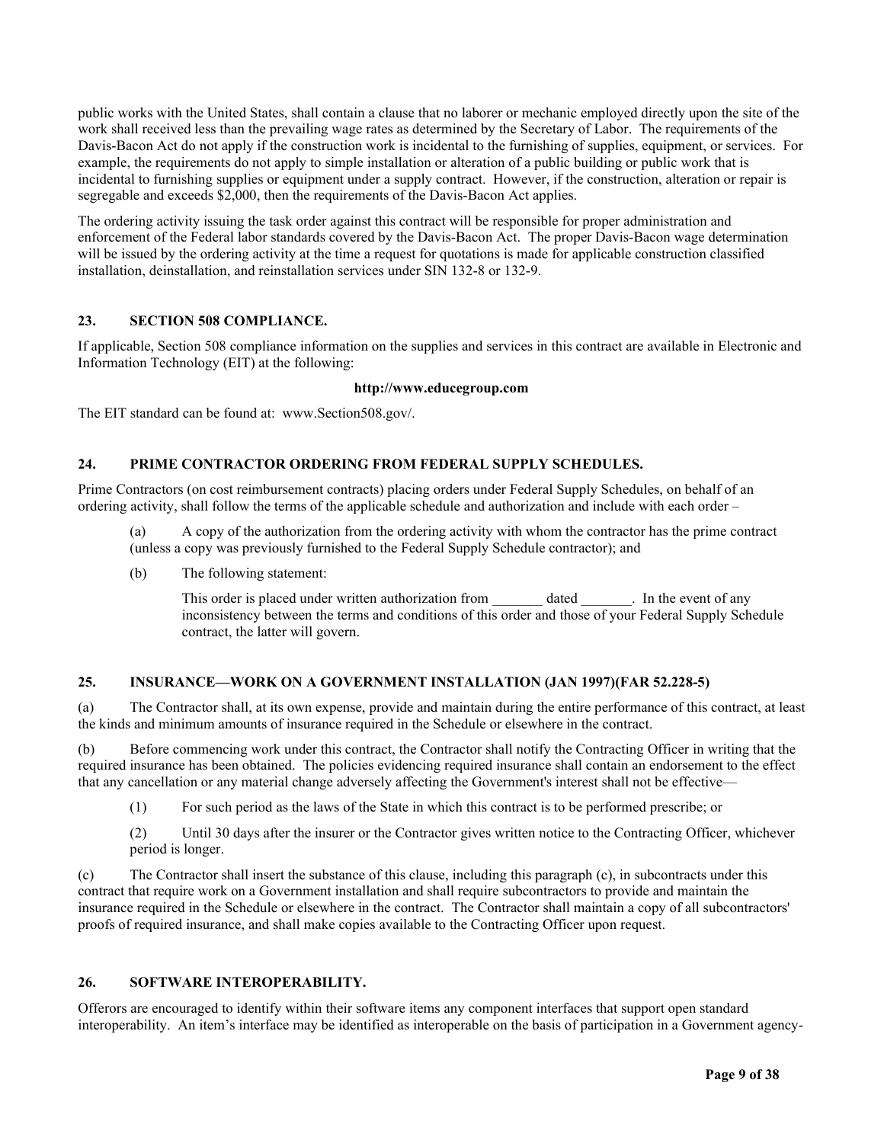public works with the United States, shall contain a clause that no laborer or mechanic employed directly upon the site of the work shall received less than the prevailing wage rates as determined by the Secretary of Labor. The requirements of the Davis-Bacon Act do not apply if the construction work is incidental to the furnishing of supplies, equipment, or services. For example, the requirements do not apply to simple installation or alteration of a public building or public work that is incidental to furnishing supplies or equipment under a supply contract. However, if the construction, alteration or repair is segregable and exceeds \$2,000, then the requirements of the Davis-Bacon Act applies.

The ordering activity issuing the task order against this contract will be responsible for proper administration and enforcement of the Federal labor standards covered by the Davis-Bacon Act. The proper Davis-Bacon wage determination will be issued by the ordering activity at the time a request for quotations is made for applicable construction classified installation, deinstallation, and reinstallation services under SIN 132-8 or 132-9.

## **23. SECTION 508 COMPLIANCE.**

If applicable, Section 508 compliance information on the supplies and services in this contract are available in Electronic and Information Technology (EIT) at the following:

## **http://www.educegroup.com**

The EIT standard can be found at: www.Section508.gov/.

## **24. PRIME CONTRACTOR ORDERING FROM FEDERAL SUPPLY SCHEDULES.**

Prime Contractors (on cost reimbursement contracts) placing orders under Federal Supply Schedules, on behalf of an ordering activity, shall follow the terms of the applicable schedule and authorization and include with each order –

(a) A copy of the authorization from the ordering activity with whom the contractor has the prime contract (unless a copy was previously furnished to the Federal Supply Schedule contractor); and

(b) The following statement:

This order is placed under written authorization from dated The event of any inconsistency between the terms and conditions of this order and those of your Federal Supply Schedule contract, the latter will govern.

## **25. INSURANCE—WORK ON A GOVERNMENT INSTALLATION (JAN 1997)(FAR 52.228-5)**

(a) The Contractor shall, at its own expense, provide and maintain during the entire performance of this contract, at least the kinds and minimum amounts of insurance required in the Schedule or elsewhere in the contract.

(b) Before commencing work under this contract, the Contractor shall notify the Contracting Officer in writing that the required insurance has been obtained. The policies evidencing required insurance shall contain an endorsement to the effect that any cancellation or any material change adversely affecting the Government's interest shall not be effective—

(1) For such period as the laws of the State in which this contract is to be performed prescribe; or

(2) Until 30 days after the insurer or the Contractor gives written notice to the Contracting Officer, whichever period is longer.

(c) The Contractor shall insert the substance of this clause, including this paragraph (c), in subcontracts under this contract that require work on a Government installation and shall require subcontractors to provide and maintain the insurance required in the Schedule or elsewhere in the contract. The Contractor shall maintain a copy of all subcontractors' proofs of required insurance, and shall make copies available to the Contracting Officer upon request.

## **26. SOFTWARE INTEROPERABILITY.**

Offerors are encouraged to identify within their software items any component interfaces that support open standard interoperability. An item's interface may be identified as interoperable on the basis of participation in a Government agency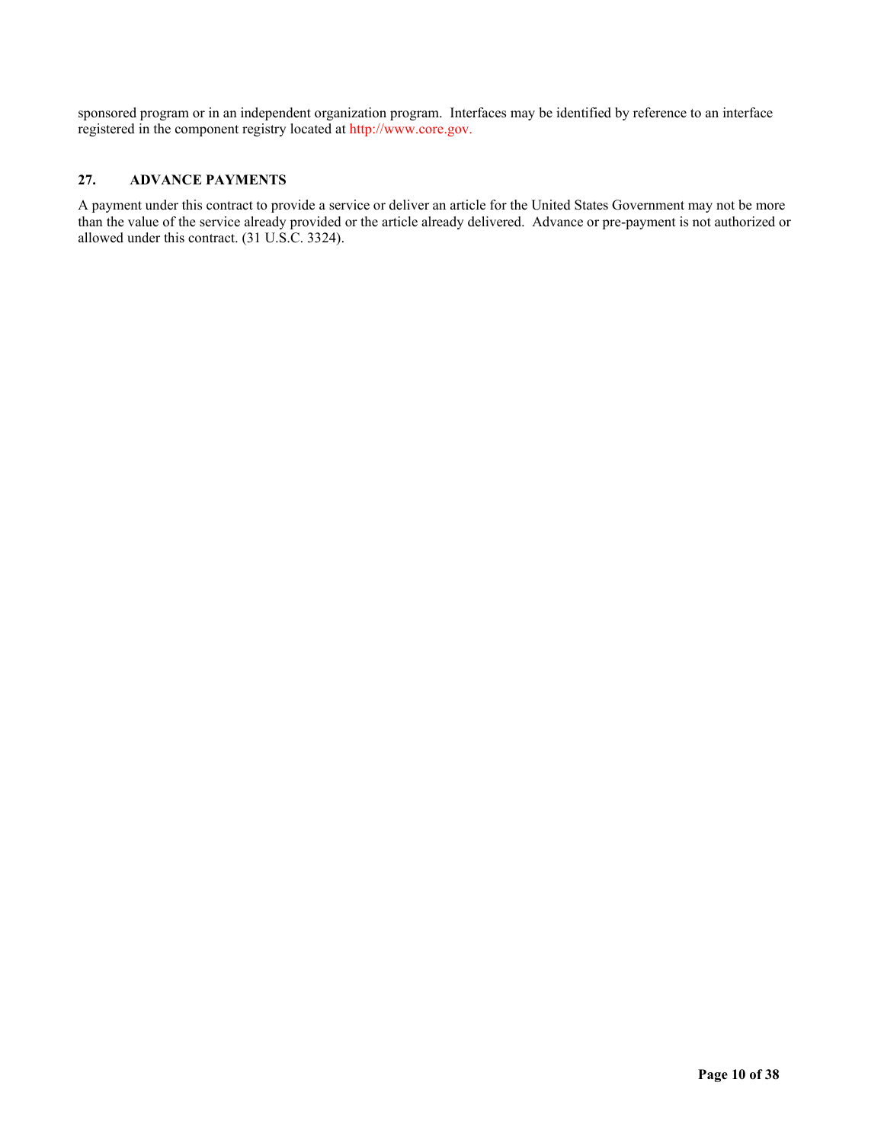sponsored program or in an independent organization program. Interfaces may be identified by reference to an interface registered in the component registry located at http://www.core.gov.

## **27. ADVANCE PAYMENTS**

A payment under this contract to provide a service or deliver an article for the United States Government may not be more than the value of the service already provided or the article already delivered. Advance or pre-payment is not authorized or allowed under this contract. (31 U.S.C. 3324).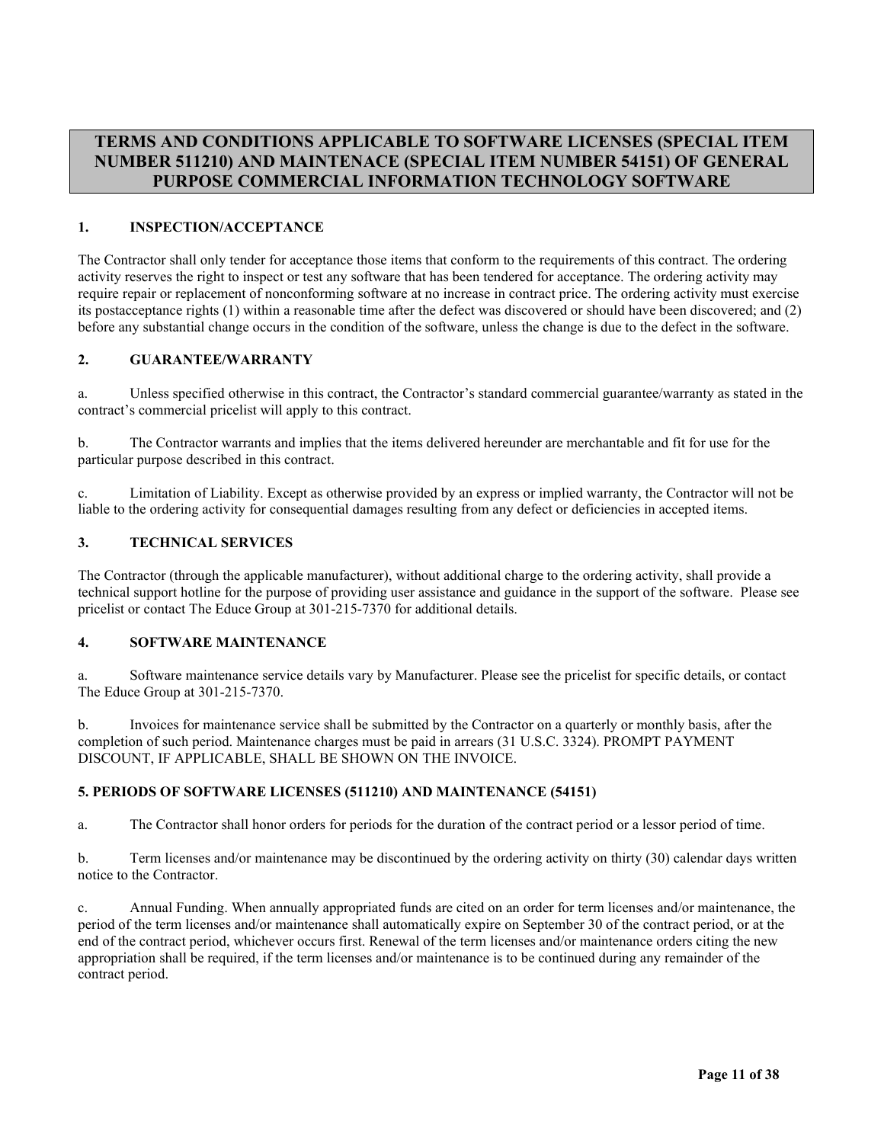# **TERMS AND CONDITIONS APPLICABLE TO SOFTWARE LICENSES (SPECIAL ITEM NUMBER 511210) AND MAINTENACE (SPECIAL ITEM NUMBER 54151) OF GENERAL PURPOSE COMMERCIAL INFORMATION TECHNOLOGY SOFTWARE**

## **1. INSPECTION/ACCEPTANCE**

The Contractor shall only tender for acceptance those items that conform to the requirements of this contract. The ordering activity reserves the right to inspect or test any software that has been tendered for acceptance. The ordering activity may require repair or replacement of nonconforming software at no increase in contract price. The ordering activity must exercise its postacceptance rights (1) within a reasonable time after the defect was discovered or should have been discovered; and (2) before any substantial change occurs in the condition of the software, unless the change is due to the defect in the software.

## **2. GUARANTEE/WARRANTY**

a. Unless specified otherwise in this contract, the Contractor's standard commercial guarantee/warranty as stated in the contract's commercial pricelist will apply to this contract.

b. The Contractor warrants and implies that the items delivered hereunder are merchantable and fit for use for the particular purpose described in this contract.

c. Limitation of Liability. Except as otherwise provided by an express or implied warranty, the Contractor will not be liable to the ordering activity for consequential damages resulting from any defect or deficiencies in accepted items.

## **3. TECHNICAL SERVICES**

The Contractor (through the applicable manufacturer), without additional charge to the ordering activity, shall provide a technical support hotline for the purpose of providing user assistance and guidance in the support of the software. Please see pricelist or contact The Educe Group at 301-215-7370 for additional details.

### **4. SOFTWARE MAINTENANCE**

a. Software maintenance service details vary by Manufacturer. Please see the pricelist for specific details, or contact The Educe Group at 301-215-7370.

b. Invoices for maintenance service shall be submitted by the Contractor on a quarterly or monthly basis, after the completion of such period. Maintenance charges must be paid in arrears (31 U.S.C. 3324). PROMPT PAYMENT DISCOUNT, IF APPLICABLE, SHALL BE SHOWN ON THE INVOICE.

#### **5. PERIODS OF SOFTWARE LICENSES (511210) AND MAINTENANCE (54151)**

a. The Contractor shall honor orders for periods for the duration of the contract period or a lessor period of time.

b. Term licenses and/or maintenance may be discontinued by the ordering activity on thirty (30) calendar days written notice to the Contractor.

c. Annual Funding. When annually appropriated funds are cited on an order for term licenses and/or maintenance, the period of the term licenses and/or maintenance shall automatically expire on September 30 of the contract period, or at the end of the contract period, whichever occurs first. Renewal of the term licenses and/or maintenance orders citing the new appropriation shall be required, if the term licenses and/or maintenance is to be continued during any remainder of the contract period.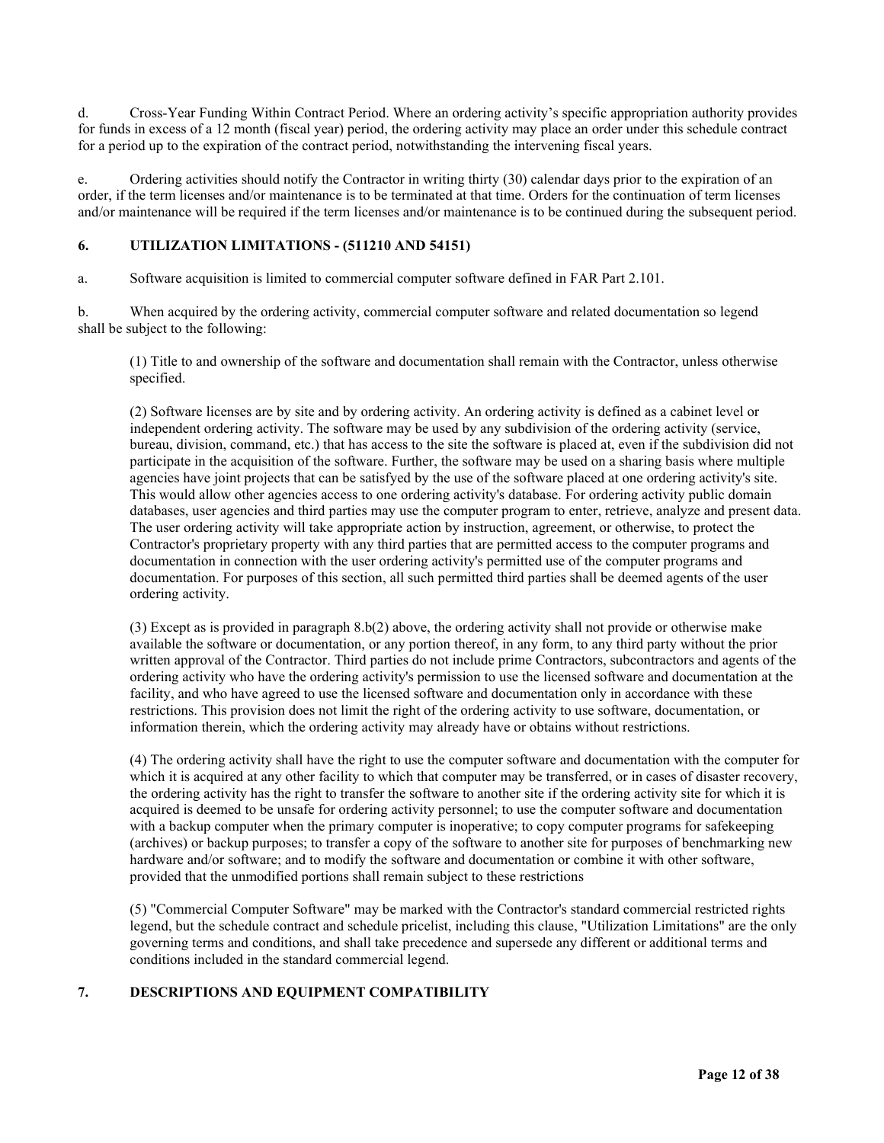d. Cross-Year Funding Within Contract Period. Where an ordering activity's specific appropriation authority provides for funds in excess of a 12 month (fiscal year) period, the ordering activity may place an order under this schedule contract for a period up to the expiration of the contract period, notwithstanding the intervening fiscal years.

e. Ordering activities should notify the Contractor in writing thirty (30) calendar days prior to the expiration of an order, if the term licenses and/or maintenance is to be terminated at that time. Orders for the continuation of term licenses and/or maintenance will be required if the term licenses and/or maintenance is to be continued during the subsequent period.

## **6. UTILIZATION LIMITATIONS - (511210 AND 54151)**

a. Software acquisition is limited to commercial computer software defined in FAR Part 2.101.

b. When acquired by the ordering activity, commercial computer software and related documentation so legend shall be subject to the following:

(1) Title to and ownership of the software and documentation shall remain with the Contractor, unless otherwise specified.

(2) Software licenses are by site and by ordering activity. An ordering activity is defined as a cabinet level or independent ordering activity. The software may be used by any subdivision of the ordering activity (service, bureau, division, command, etc.) that has access to the site the software is placed at, even if the subdivision did not participate in the acquisition of the software. Further, the software may be used on a sharing basis where multiple agencies have joint projects that can be satisfyed by the use of the software placed at one ordering activity's site. This would allow other agencies access to one ordering activity's database. For ordering activity public domain databases, user agencies and third parties may use the computer program to enter, retrieve, analyze and present data. The user ordering activity will take appropriate action by instruction, agreement, or otherwise, to protect the Contractor's proprietary property with any third parties that are permitted access to the computer programs and documentation in connection with the user ordering activity's permitted use of the computer programs and documentation. For purposes of this section, all such permitted third parties shall be deemed agents of the user ordering activity.

(3) Except as is provided in paragraph 8.b(2) above, the ordering activity shall not provide or otherwise make available the software or documentation, or any portion thereof, in any form, to any third party without the prior written approval of the Contractor. Third parties do not include prime Contractors, subcontractors and agents of the ordering activity who have the ordering activity's permission to use the licensed software and documentation at the facility, and who have agreed to use the licensed software and documentation only in accordance with these restrictions. This provision does not limit the right of the ordering activity to use software, documentation, or information therein, which the ordering activity may already have or obtains without restrictions.

(4) The ordering activity shall have the right to use the computer software and documentation with the computer for which it is acquired at any other facility to which that computer may be transferred, or in cases of disaster recovery, the ordering activity has the right to transfer the software to another site if the ordering activity site for which it is acquired is deemed to be unsafe for ordering activity personnel; to use the computer software and documentation with a backup computer when the primary computer is inoperative; to copy computer programs for safekeeping (archives) or backup purposes; to transfer a copy of the software to another site for purposes of benchmarking new hardware and/or software; and to modify the software and documentation or combine it with other software, provided that the unmodified portions shall remain subject to these restrictions

(5) "Commercial Computer Software" may be marked with the Contractor's standard commercial restricted rights legend, but the schedule contract and schedule pricelist, including this clause, "Utilization Limitations" are the only governing terms and conditions, and shall take precedence and supersede any different or additional terms and conditions included in the standard commercial legend.

## **7. DESCRIPTIONS AND EQUIPMENT COMPATIBILITY**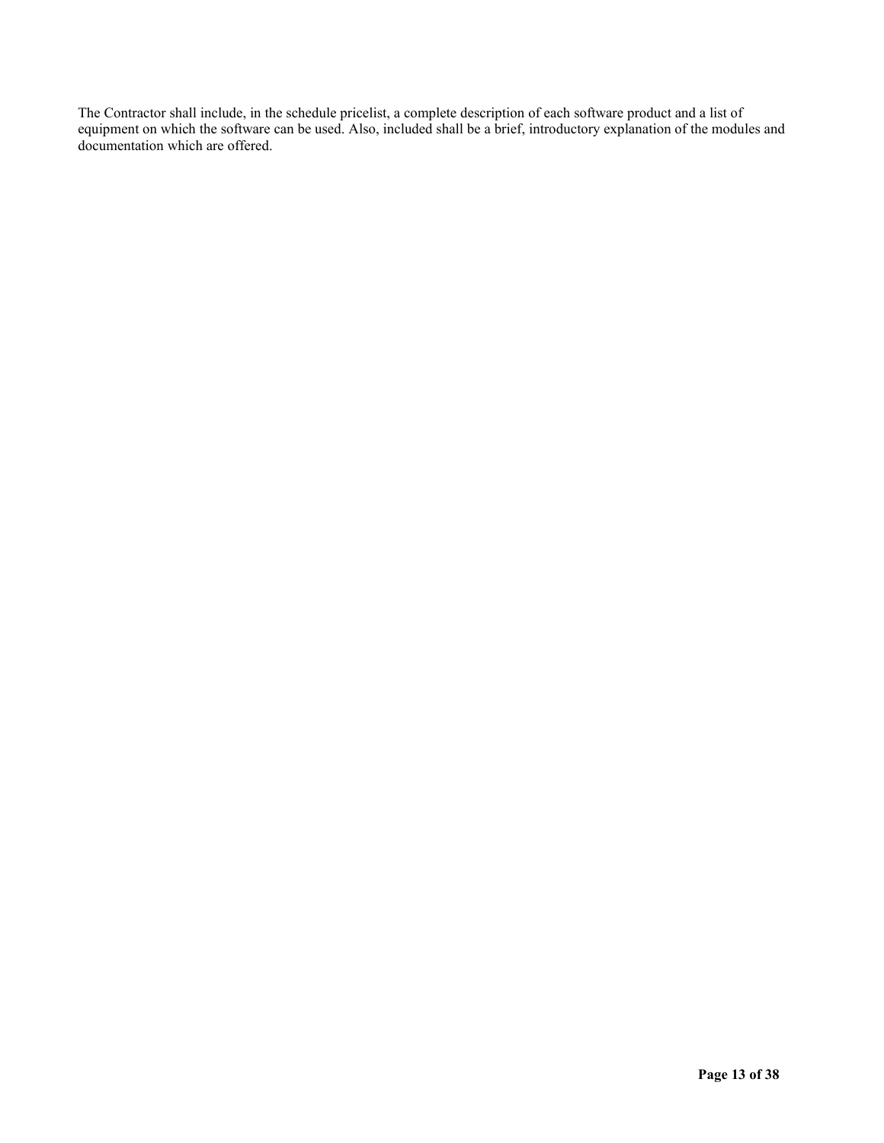The Contractor shall include, in the schedule pricelist, a complete description of each software product and a list of equipment on which the software can be used. Also, included shall be a brief, introductory explanation of the modules and documentation which are offered.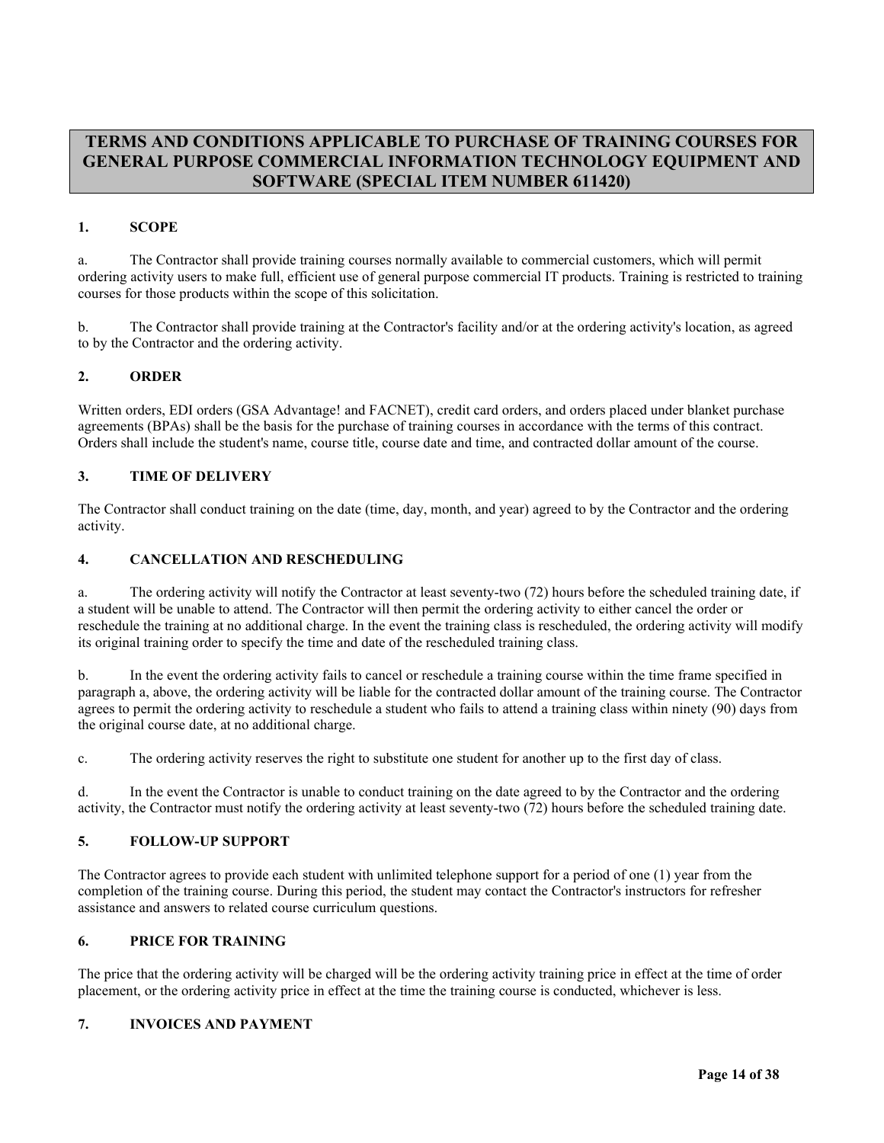# **TERMS AND CONDITIONS APPLICABLE TO PURCHASE OF TRAINING COURSES FOR GENERAL PURPOSE COMMERCIAL INFORMATION TECHNOLOGY EQUIPMENT AND SOFTWARE (SPECIAL ITEM NUMBER 611420)**

# **1. SCOPE**

a. The Contractor shall provide training courses normally available to commercial customers, which will permit ordering activity users to make full, efficient use of general purpose commercial IT products. Training is restricted to training courses for those products within the scope of this solicitation.

b. The Contractor shall provide training at the Contractor's facility and/or at the ordering activity's location, as agreed to by the Contractor and the ordering activity.

## **2. ORDER**

Written orders, EDI orders (GSA Advantage! and FACNET), credit card orders, and orders placed under blanket purchase agreements (BPAs) shall be the basis for the purchase of training courses in accordance with the terms of this contract. Orders shall include the student's name, course title, course date and time, and contracted dollar amount of the course.

## **3. TIME OF DELIVERY**

The Contractor shall conduct training on the date (time, day, month, and year) agreed to by the Contractor and the ordering activity.

## **4. CANCELLATION AND RESCHEDULING**

a. The ordering activity will notify the Contractor at least seventy-two (72) hours before the scheduled training date, if a student will be unable to attend. The Contractor will then permit the ordering activity to either cancel the order or reschedule the training at no additional charge. In the event the training class is rescheduled, the ordering activity will modify its original training order to specify the time and date of the rescheduled training class.

b. In the event the ordering activity fails to cancel or reschedule a training course within the time frame specified in paragraph a, above, the ordering activity will be liable for the contracted dollar amount of the training course. The Contractor agrees to permit the ordering activity to reschedule a student who fails to attend a training class within ninety (90) days from the original course date, at no additional charge.

c. The ordering activity reserves the right to substitute one student for another up to the first day of class.

d. In the event the Contractor is unable to conduct training on the date agreed to by the Contractor and the ordering activity, the Contractor must notify the ordering activity at least seventy-two (72) hours before the scheduled training date.

## **5. FOLLOW-UP SUPPORT**

The Contractor agrees to provide each student with unlimited telephone support for a period of one (1) year from the completion of the training course. During this period, the student may contact the Contractor's instructors for refresher assistance and answers to related course curriculum questions.

## **6. PRICE FOR TRAINING**

The price that the ordering activity will be charged will be the ordering activity training price in effect at the time of order placement, or the ordering activity price in effect at the time the training course is conducted, whichever is less.

## **7. INVOICES AND PAYMENT**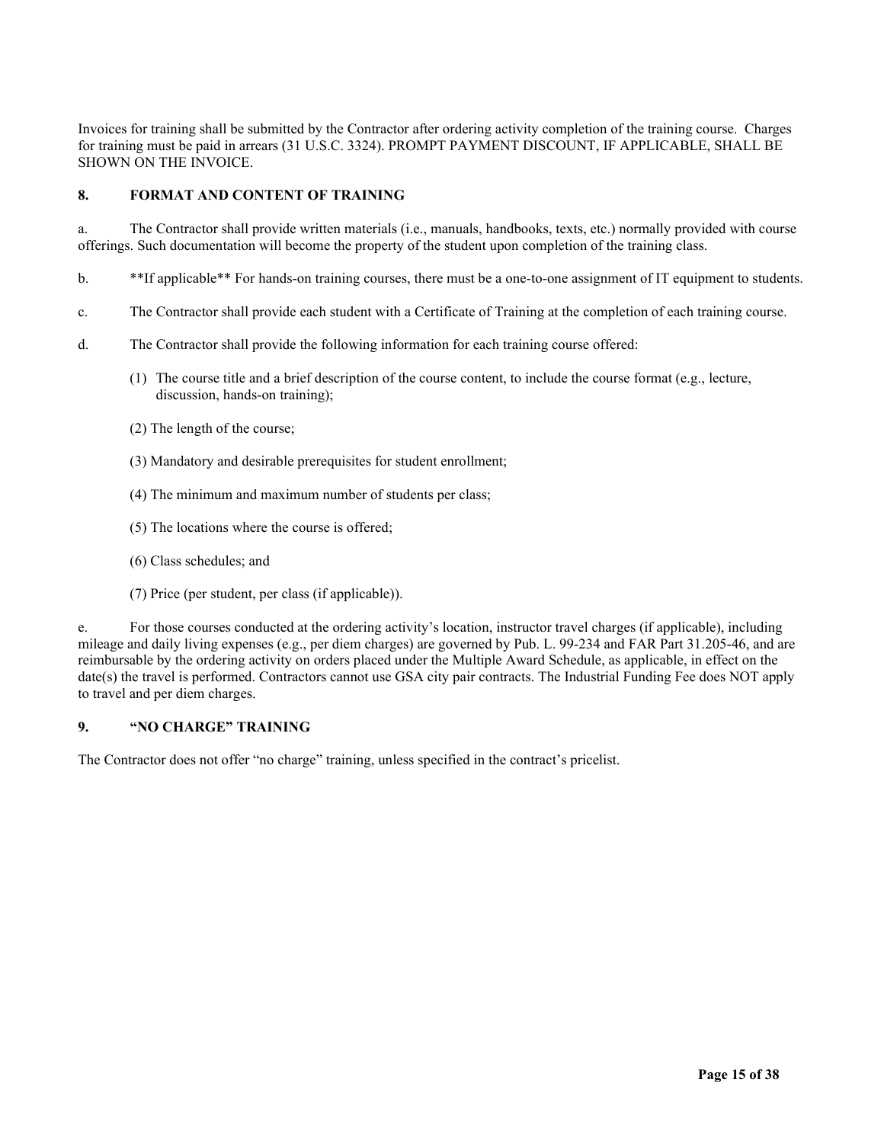Invoices for training shall be submitted by the Contractor after ordering activity completion of the training course. Charges for training must be paid in arrears (31 U.S.C. 3324). PROMPT PAYMENT DISCOUNT, IF APPLICABLE, SHALL BE SHOWN ON THE INVOICE.

## **8. FORMAT AND CONTENT OF TRAINING**

a. The Contractor shall provide written materials (i.e., manuals, handbooks, texts, etc.) normally provided with course offerings. Such documentation will become the property of the student upon completion of the training class.

- b. \*\*If applicable\*\* For hands-on training courses, there must be a one-to-one assignment of IT equipment to students.
- c. The Contractor shall provide each student with a Certificate of Training at the completion of each training course.
- d. The Contractor shall provide the following information for each training course offered:
	- (1) The course title and a brief description of the course content, to include the course format (e.g., lecture, discussion, hands-on training);
	- (2) The length of the course;
	- (3) Mandatory and desirable prerequisites for student enrollment;
	- (4) The minimum and maximum number of students per class;
	- (5) The locations where the course is offered;
	- (6) Class schedules; and
	- (7) Price (per student, per class (if applicable)).

e. For those courses conducted at the ordering activity's location, instructor travel charges (if applicable), including mileage and daily living expenses (e.g., per diem charges) are governed by Pub. L. 99-234 and FAR Part 31.205-46, and are reimbursable by the ordering activity on orders placed under the Multiple Award Schedule, as applicable, in effect on the date(s) the travel is performed. Contractors cannot use GSA city pair contracts. The Industrial Funding Fee does NOT apply to travel and per diem charges.

## **9. "NO CHARGE" TRAINING**

The Contractor does not offer "no charge" training, unless specified in the contract's pricelist.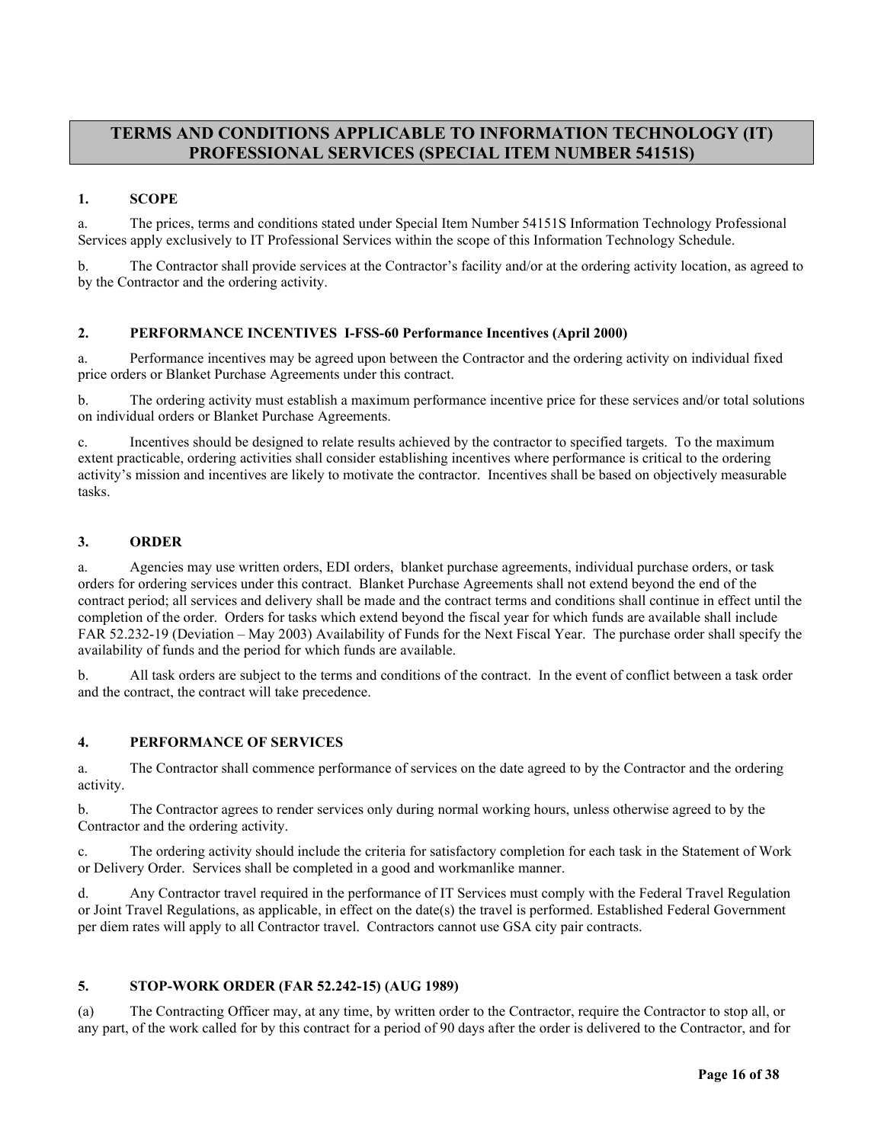# **TERMS AND CONDITIONS APPLICABLE TO INFORMATION TECHNOLOGY (IT) PROFESSIONAL SERVICES (SPECIAL ITEM NUMBER 54151S)**

## **1. SCOPE**

a. The prices, terms and conditions stated under Special Item Number 54151S Information Technology Professional Services apply exclusively to IT Professional Services within the scope of this Information Technology Schedule.

b. The Contractor shall provide services at the Contractor's facility and/or at the ordering activity location, as agreed to by the Contractor and the ordering activity.

## **2. PERFORMANCE INCENTIVES I-FSS-60 Performance Incentives (April 2000)**

a. Performance incentives may be agreed upon between the Contractor and the ordering activity on individual fixed price orders or Blanket Purchase Agreements under this contract.

b. The ordering activity must establish a maximum performance incentive price for these services and/or total solutions on individual orders or Blanket Purchase Agreements.

c. Incentives should be designed to relate results achieved by the contractor to specified targets. To the maximum extent practicable, ordering activities shall consider establishing incentives where performance is critical to the ordering activity's mission and incentives are likely to motivate the contractor. Incentives shall be based on objectively measurable tasks.

## **3. ORDER**

a. Agencies may use written orders, EDI orders, blanket purchase agreements, individual purchase orders, or task orders for ordering services under this contract. Blanket Purchase Agreements shall not extend beyond the end of the contract period; all services and delivery shall be made and the contract terms and conditions shall continue in effect until the completion of the order. Orders for tasks which extend beyond the fiscal year for which funds are available shall include FAR 52.232-19 (Deviation – May 2003) Availability of Funds for the Next Fiscal Year. The purchase order shall specify the availability of funds and the period for which funds are available.

b. All task orders are subject to the terms and conditions of the contract. In the event of conflict between a task order and the contract, the contract will take precedence.

## **4. PERFORMANCE OF SERVICES**

a. The Contractor shall commence performance of services on the date agreed to by the Contractor and the ordering activity.

b. The Contractor agrees to render services only during normal working hours, unless otherwise agreed to by the Contractor and the ordering activity.

c. The ordering activity should include the criteria for satisfactory completion for each task in the Statement of Work or Delivery Order. Services shall be completed in a good and workmanlike manner.

d. Any Contractor travel required in the performance of IT Services must comply with the Federal Travel Regulation or Joint Travel Regulations, as applicable, in effect on the date(s) the travel is performed. Established Federal Government per diem rates will apply to all Contractor travel. Contractors cannot use GSA city pair contracts.

## **5. STOP-WORK ORDER (FAR 52.242-15) (AUG 1989)**

(a) The Contracting Officer may, at any time, by written order to the Contractor, require the Contractor to stop all, or any part, of the work called for by this contract for a period of 90 days after the order is delivered to the Contractor, and for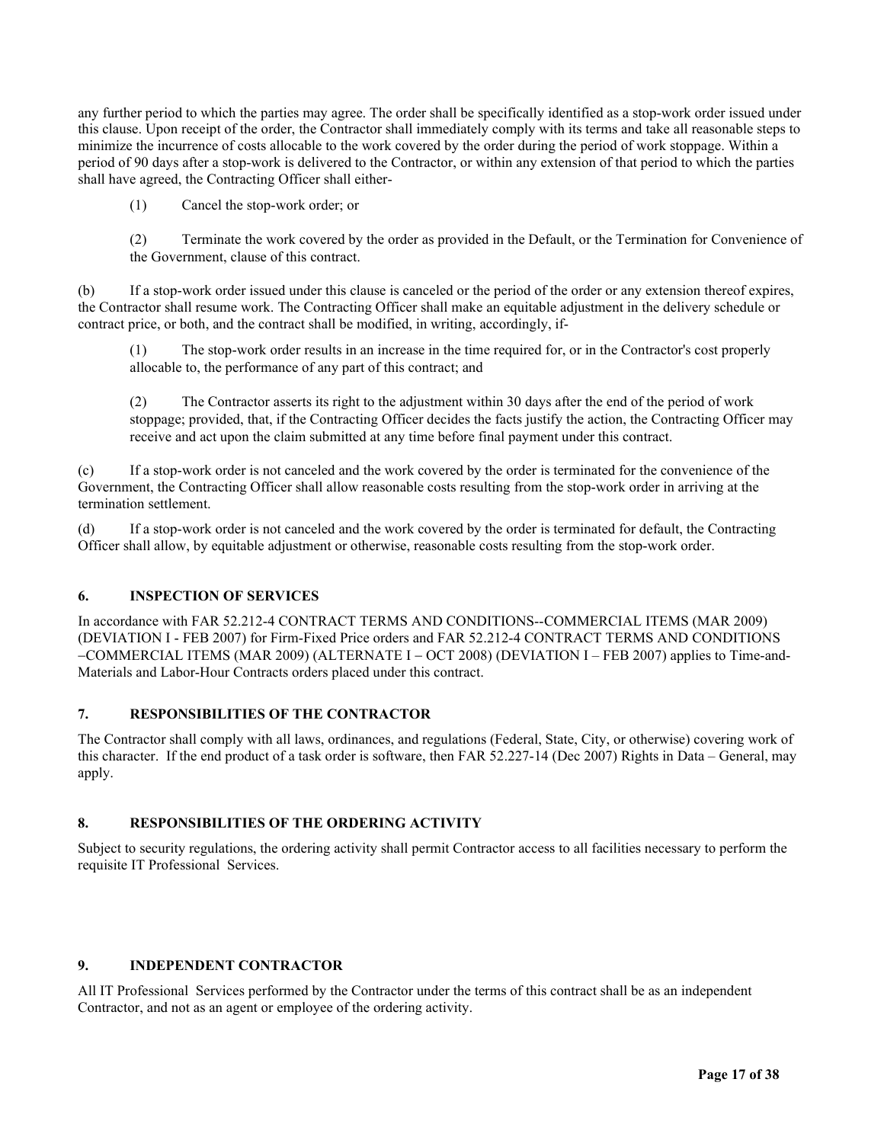any further period to which the parties may agree. The order shall be specifically identified as a stop-work order issued under this clause. Upon receipt of the order, the Contractor shall immediately comply with its terms and take all reasonable steps to minimize the incurrence of costs allocable to the work covered by the order during the period of work stoppage. Within a period of 90 days after a stop-work is delivered to the Contractor, or within any extension of that period to which the parties shall have agreed, the Contracting Officer shall either-

(1) Cancel the stop-work order; or

(2) Terminate the work covered by the order as provided in the Default, or the Termination for Convenience of the Government, clause of this contract.

(b) If a stop-work order issued under this clause is canceled or the period of the order or any extension thereof expires, the Contractor shall resume work. The Contracting Officer shall make an equitable adjustment in the delivery schedule or contract price, or both, and the contract shall be modified, in writing, accordingly, if-

(1) The stop-work order results in an increase in the time required for, or in the Contractor's cost properly allocable to, the performance of any part of this contract; and

(2) The Contractor asserts its right to the adjustment within 30 days after the end of the period of work stoppage; provided, that, if the Contracting Officer decides the facts justify the action, the Contracting Officer may receive and act upon the claim submitted at any time before final payment under this contract.

(c) If a stop-work order is not canceled and the work covered by the order is terminated for the convenience of the Government, the Contracting Officer shall allow reasonable costs resulting from the stop-work order in arriving at the termination settlement.

(d) If a stop-work order is not canceled and the work covered by the order is terminated for default, the Contracting Officer shall allow, by equitable adjustment or otherwise, reasonable costs resulting from the stop-work order.

## **6. INSPECTION OF SERVICES**

In accordance with FAR 52.212-4 CONTRACT TERMS AND CONDITIONS--COMMERCIAL ITEMS (MAR 2009) (DEVIATION I - FEB 2007) for Firm-Fixed Price orders and FAR 52.212-4 CONTRACT TERMS AND CONDITIONS −COMMERCIAL ITEMS (MAR 2009) (ALTERNATE I − OCT 2008) (DEVIATION I – FEB 2007) applies to Time-and-Materials and Labor-Hour Contracts orders placed under this contract.

## **7. RESPONSIBILITIES OF THE CONTRACTOR**

The Contractor shall comply with all laws, ordinances, and regulations (Federal, State, City, or otherwise) covering work of this character. If the end product of a task order is software, then FAR 52.227-14 (Dec 2007) Rights in Data – General, may apply.

## **8. RESPONSIBILITIES OF THE ORDERING ACTIVITY**

Subject to security regulations, the ordering activity shall permit Contractor access to all facilities necessary to perform the requisite IT Professional Services.

## **9. INDEPENDENT CONTRACTOR**

All IT Professional Services performed by the Contractor under the terms of this contract shall be as an independent Contractor, and not as an agent or employee of the ordering activity.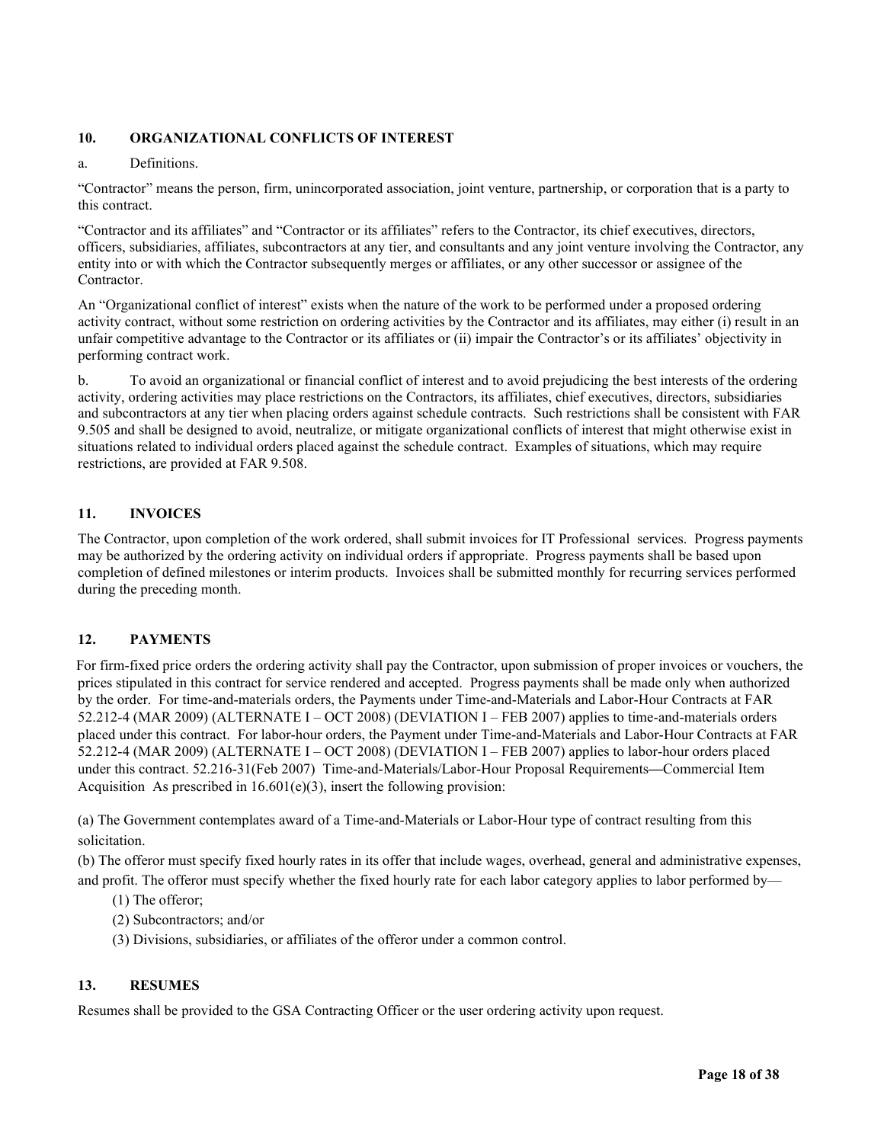## **10. ORGANIZATIONAL CONFLICTS OF INTEREST**

## a. Definitions.

"Contractor" means the person, firm, unincorporated association, joint venture, partnership, or corporation that is a party to this contract.

"Contractor and its affiliates" and "Contractor or its affiliates" refers to the Contractor, its chief executives, directors, officers, subsidiaries, affiliates, subcontractors at any tier, and consultants and any joint venture involving the Contractor, any entity into or with which the Contractor subsequently merges or affiliates, or any other successor or assignee of the Contractor.

An "Organizational conflict of interest" exists when the nature of the work to be performed under a proposed ordering activity contract, without some restriction on ordering activities by the Contractor and its affiliates, may either (i) result in an unfair competitive advantage to the Contractor or its affiliates or (ii) impair the Contractor's or its affiliates' objectivity in performing contract work.

b. To avoid an organizational or financial conflict of interest and to avoid prejudicing the best interests of the ordering activity, ordering activities may place restrictions on the Contractors, its affiliates, chief executives, directors, subsidiaries and subcontractors at any tier when placing orders against schedule contracts. Such restrictions shall be consistent with FAR 9.505 and shall be designed to avoid, neutralize, or mitigate organizational conflicts of interest that might otherwise exist in situations related to individual orders placed against the schedule contract. Examples of situations, which may require restrictions, are provided at FAR 9.508.

## **11. INVOICES**

The Contractor, upon completion of the work ordered, shall submit invoices for IT Professional services. Progress payments may be authorized by the ordering activity on individual orders if appropriate. Progress payments shall be based upon completion of defined milestones or interim products. Invoices shall be submitted monthly for recurring services performed during the preceding month.

## **12. PAYMENTS**

 For firm-fixed price orders the ordering activity shall pay the Contractor, upon submission of proper invoices or vouchers, the prices stipulated in this contract for service rendered and accepted. Progress payments shall be made only when authorized by the order. For time-and-materials orders, the Payments under Time-and-Materials and Labor-Hour Contracts at FAR 52.212-4 (MAR 2009) (ALTERNATE I – OCT 2008) (DEVIATION I – FEB 2007) applies to time-and-materials orders placed under this contract. For labor-hour orders, the Payment under Time-and-Materials and Labor-Hour Contracts at FAR 52.212-4 (MAR 2009) (ALTERNATE I – OCT 2008) (DEVIATION I – FEB 2007) applies to labor-hour orders placed under this contract. 52.216-31(Feb 2007) Time-and-Materials/Labor-Hour Proposal Requirements**—**Commercial Item Acquisition As prescribed in  $16.601(e)(3)$ , insert the following provision:

(a) The Government contemplates award of a Time-and-Materials or Labor-Hour type of contract resulting from this solicitation.

(b) The offeror must specify fixed hourly rates in its offer that include wages, overhead, general and administrative expenses, and profit. The offeror must specify whether the fixed hourly rate for each labor category applies to labor performed by—

- (1) The offeror;
- (2) Subcontractors; and/or
- (3) Divisions, subsidiaries, or affiliates of the offeror under a common control.

## **13. RESUMES**

Resumes shall be provided to the GSA Contracting Officer or the user ordering activity upon request.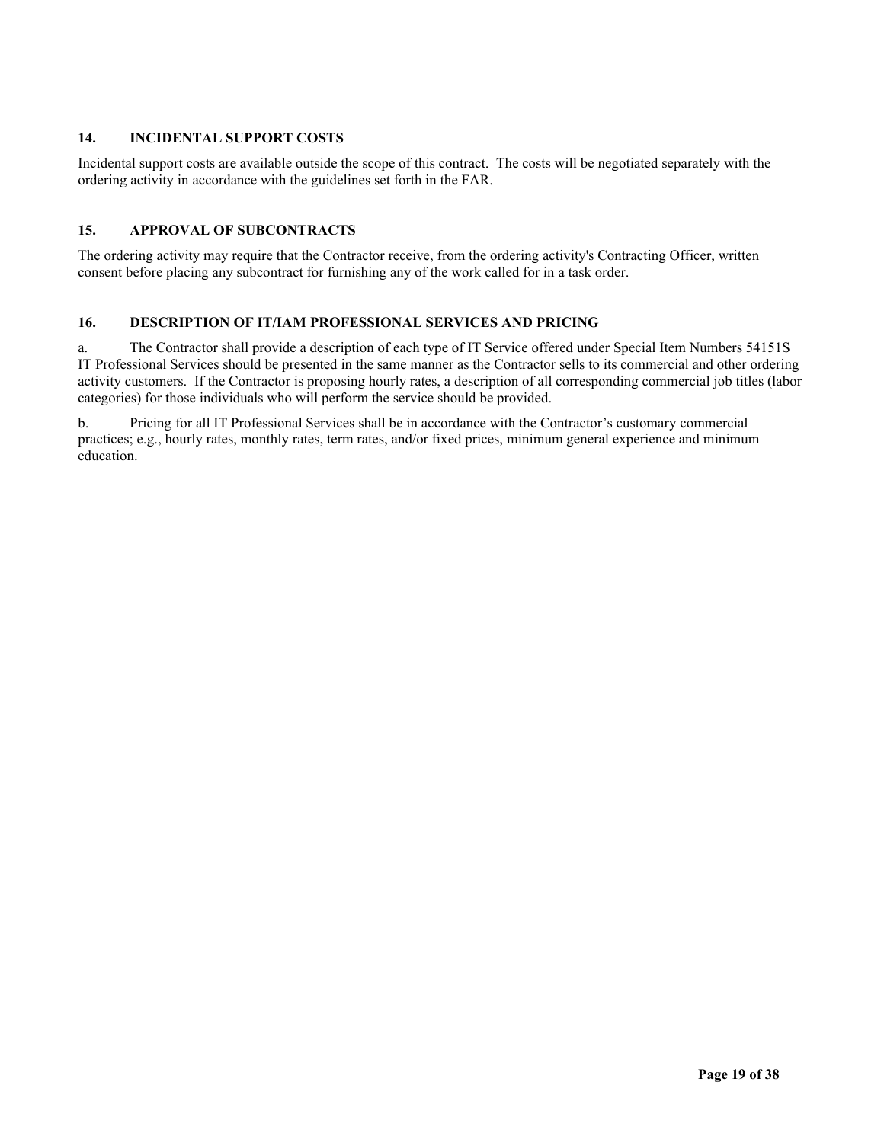## **14. INCIDENTAL SUPPORT COSTS**

Incidental support costs are available outside the scope of this contract. The costs will be negotiated separately with the ordering activity in accordance with the guidelines set forth in the FAR.

## **15. APPROVAL OF SUBCONTRACTS**

The ordering activity may require that the Contractor receive, from the ordering activity's Contracting Officer, written consent before placing any subcontract for furnishing any of the work called for in a task order.

## **16. DESCRIPTION OF IT/IAM PROFESSIONAL SERVICES AND PRICING**

a. The Contractor shall provide a description of each type of IT Service offered under Special Item Numbers 54151S IT Professional Services should be presented in the same manner as the Contractor sells to its commercial and other ordering activity customers. If the Contractor is proposing hourly rates, a description of all corresponding commercial job titles (labor categories) for those individuals who will perform the service should be provided.

b. Pricing for all IT Professional Services shall be in accordance with the Contractor's customary commercial practices; e.g., hourly rates, monthly rates, term rates, and/or fixed prices, minimum general experience and minimum education.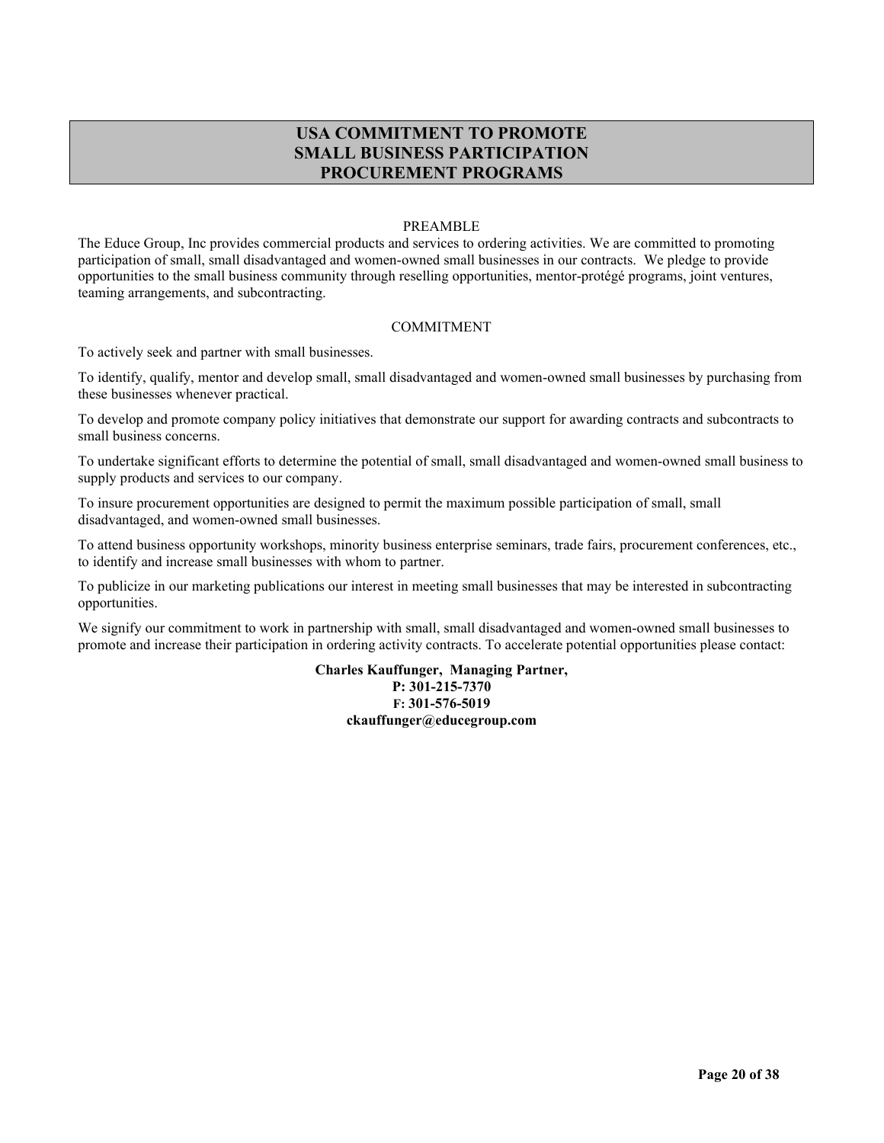# **USA COMMITMENT TO PROMOTE SMALL BUSINESS PARTICIPATION PROCUREMENT PROGRAMS**

## PREAMBLE

The Educe Group, Inc provides commercial products and services to ordering activities. We are committed to promoting participation of small, small disadvantaged and women-owned small businesses in our contracts. We pledge to provide opportunities to the small business community through reselling opportunities, mentor-protégé programs, joint ventures, teaming arrangements, and subcontracting.

## COMMITMENT

To actively seek and partner with small businesses.

To identify, qualify, mentor and develop small, small disadvantaged and women-owned small businesses by purchasing from these businesses whenever practical.

To develop and promote company policy initiatives that demonstrate our support for awarding contracts and subcontracts to small business concerns.

To undertake significant efforts to determine the potential of small, small disadvantaged and women-owned small business to supply products and services to our company.

To insure procurement opportunities are designed to permit the maximum possible participation of small, small disadvantaged, and women-owned small businesses.

To attend business opportunity workshops, minority business enterprise seminars, trade fairs, procurement conferences, etc., to identify and increase small businesses with whom to partner.

To publicize in our marketing publications our interest in meeting small businesses that may be interested in subcontracting opportunities.

We signify our commitment to work in partnership with small, small disadvantaged and women-owned small businesses to promote and increase their participation in ordering activity contracts. To accelerate potential opportunities please contact:

> **Charles Kauffunger, Managing Partner, P: 301-215-7370 F: 301-576-5019 ckauffunger@educegroup.com**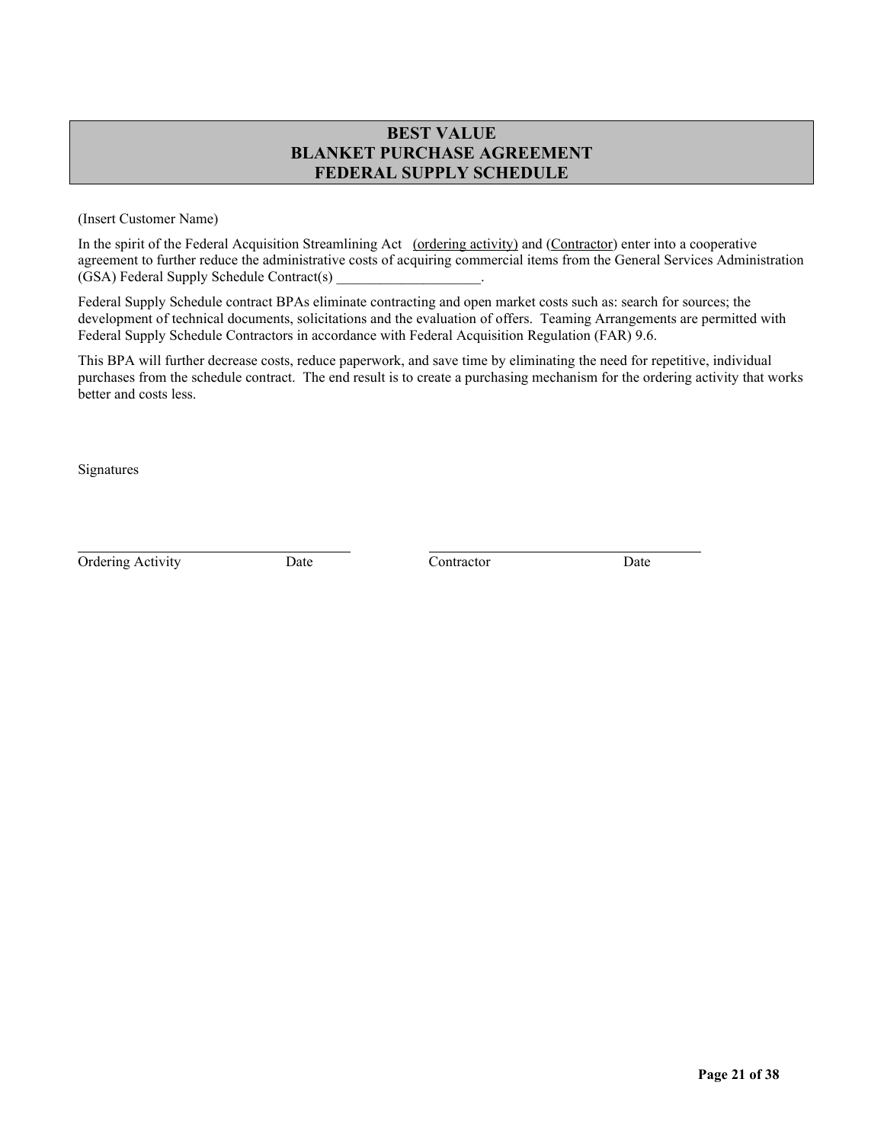# **BEST VALUE BLANKET PURCHASE AGREEMENT FEDERAL SUPPLY SCHEDULE**

(Insert Customer Name)

In the spirit of the Federal Acquisition Streamlining Act (ordering activity) and (Contractor) enter into a cooperative agreement to further reduce the administrative costs of acquiring commercial items from the General Services Administration (GSA) Federal Supply Schedule Contract(s)

Federal Supply Schedule contract BPAs eliminate contracting and open market costs such as: search for sources; the development of technical documents, solicitations and the evaluation of offers. Teaming Arrangements are permitted with Federal Supply Schedule Contractors in accordance with Federal Acquisition Regulation (FAR) 9.6.

This BPA will further decrease costs, reduce paperwork, and save time by eliminating the need for repetitive, individual purchases from the schedule contract. The end result is to create a purchasing mechanism for the ordering activity that works better and costs less.

Signatures

Ordering Activity **Date Contractor** Date **Date** 

l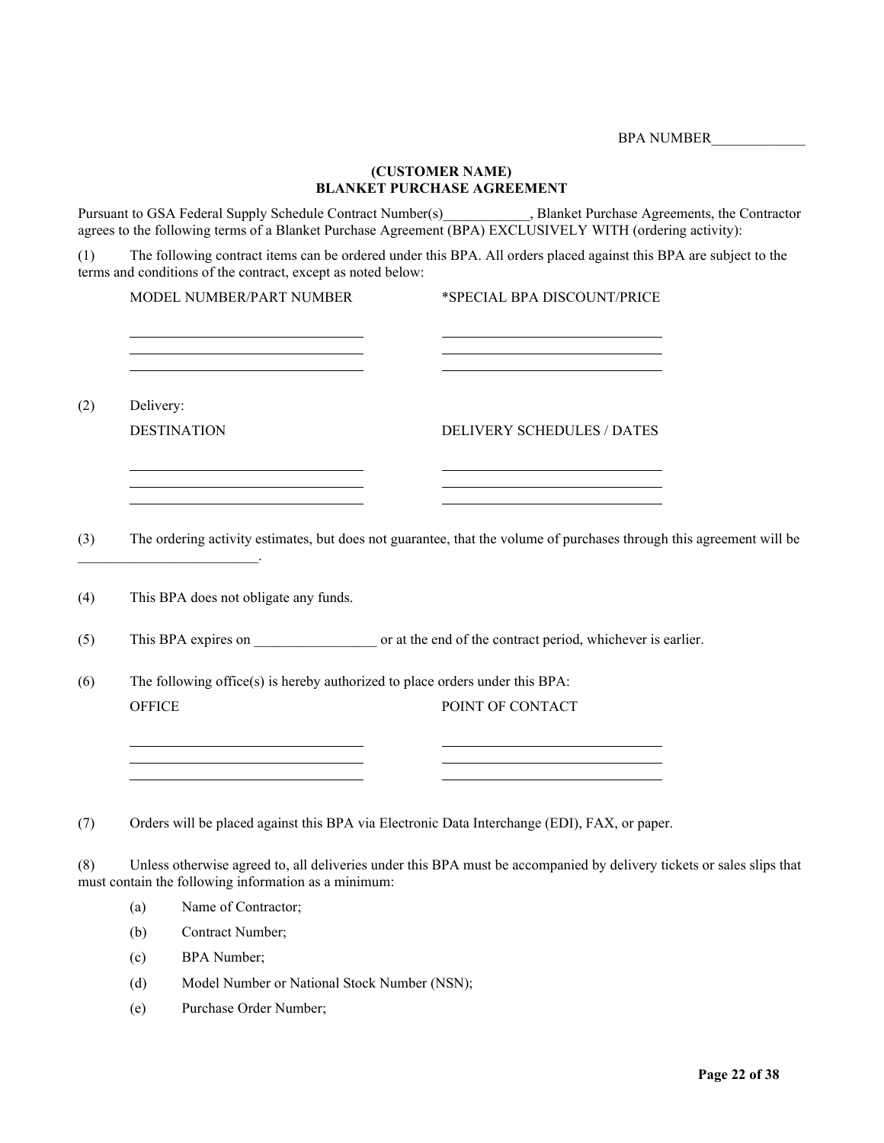BPA NUMBER\_\_\_\_\_\_\_\_\_\_\_\_\_

#### **(CUSTOMER NAME) BLANKET PURCHASE AGREEMENT**

Pursuant to GSA Federal Supply Schedule Contract Number(s) , Blanket Purchase Agreements, the Contractor agrees to the following terms of a Blanket Purchase Agreement (BPA) EXCLUSIVELY WITH (ordering activity):

(1) The following contract items can be ordered under this BPA. All orders placed against this BPA are subject to the terms and conditions of the contract, except as noted below:

MODEL NUMBER/PART NUMBER \*SPECIAL BPA DISCOUNT/PRICE

(2) Delivery:

DESTINATION DERIVERY SCHEDULES IN DR.

 $\mathcal{L}_\text{max}$  and  $\mathcal{L}_\text{max}$  and  $\mathcal{L}_\text{max}$ 

<u> 1989 - Johann Stoff, Amerikaansk politiker (</u>

(3) The ordering activity estimates, but does not guarantee, that the volume of purchases through this agreement will be

(4) This BPA does not obligate any funds.

(5) This BPA expires on or at the end of the contract period, whichever is earlier.

(6) The following office(s) is hereby authorized to place orders under this BPA: OFFICE POINT OF CONTACT

(7) Orders will be placed against this BPA via Electronic Data Interchange (EDI), FAX, or paper.

(8) Unless otherwise agreed to, all deliveries under this BPA must be accompanied by delivery tickets or sales slips that must contain the following information as a minimum:

- (a) Name of Contractor;
- (b) Contract Number;
- (c) BPA Number;
- (d) Model Number or National Stock Number (NSN);
- (e) Purchase Order Number;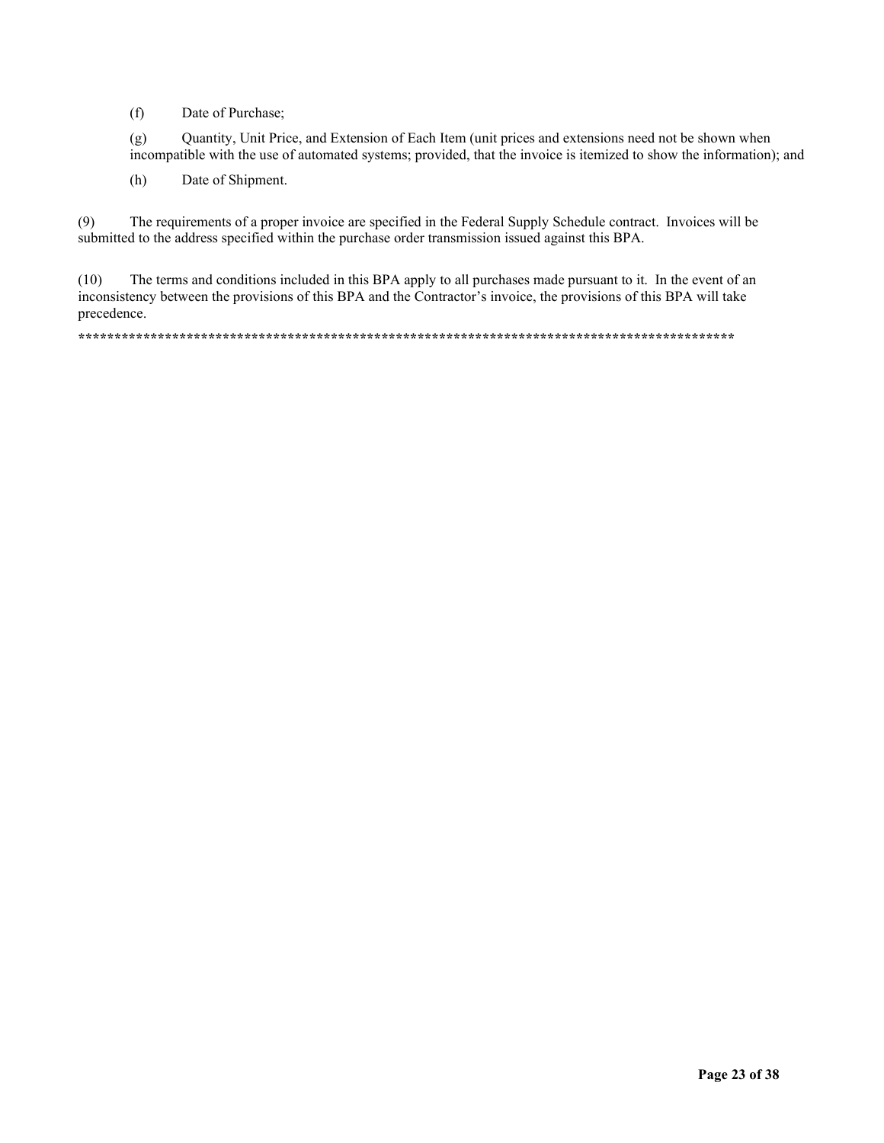(f) Date of Purchase;

(g) Quantity, Unit Price, and Extension of Each Item (unit prices and extensions need not be shown when incompatible with the use of automated systems; provided, that the invoice is itemized to show the information); and

(h) Date of Shipment.

(9) The requirements of a proper invoice are specified in the Federal Supply Schedule contract. Invoices will be submitted to the address specified within the purchase order transmission issued against this BPA.

(10) The terms and conditions included in this BPA apply to all purchases made pursuant to it. In the event of an inconsistency between the provisions of this BPA and the Contractor's invoice, the provisions of this BPA will take precedence.

**\*\*\*\*\*\*\*\*\*\*\*\*\*\*\*\*\*\*\*\*\*\*\*\*\*\*\*\*\*\*\*\*\*\*\*\*\*\*\*\*\*\*\*\*\*\*\*\*\*\*\*\*\*\*\*\*\*\*\*\*\*\*\*\*\*\*\*\*\*\*\*\*\*\*\*\*\*\*\*\*\*\*\*\*\*\*\*\*\*\*\***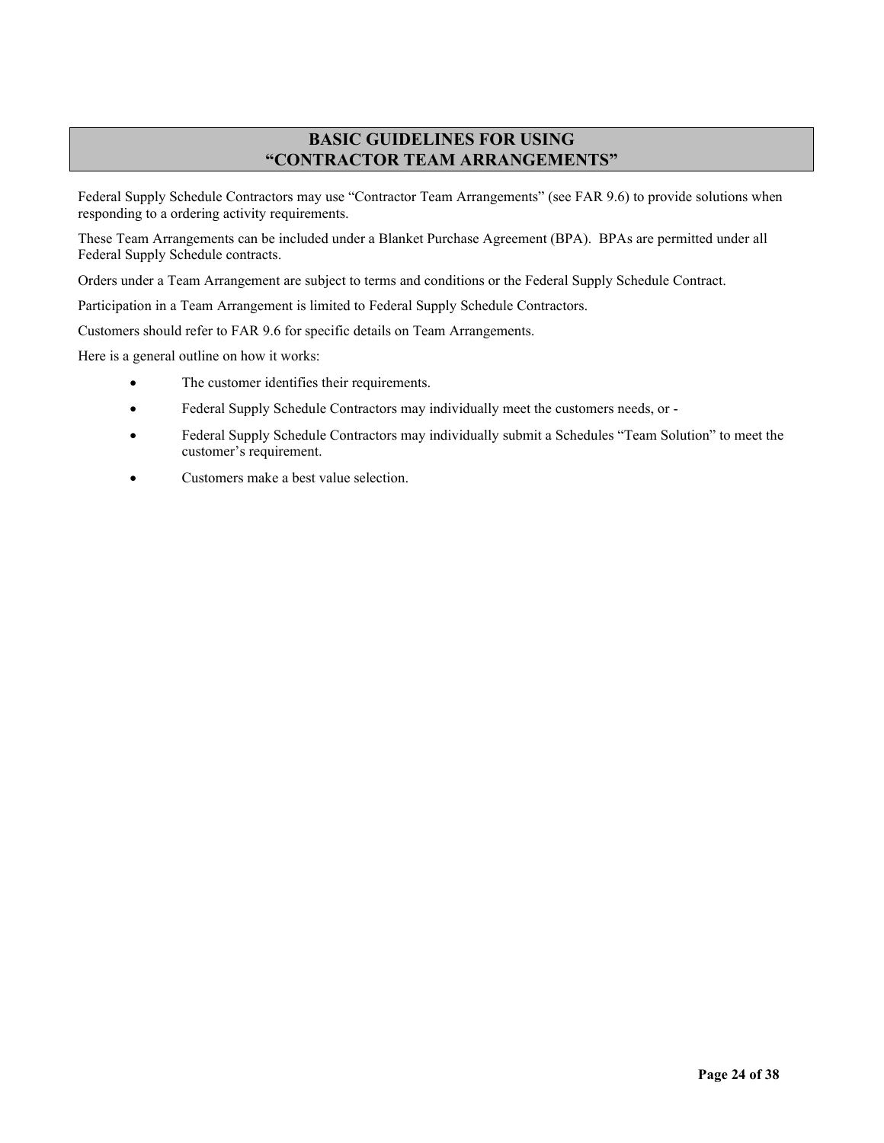# **BASIC GUIDELINES FOR USING "CONTRACTOR TEAM ARRANGEMENTS"**

Federal Supply Schedule Contractors may use "Contractor Team Arrangements" (see FAR 9.6) to provide solutions when responding to a ordering activity requirements.

These Team Arrangements can be included under a Blanket Purchase Agreement (BPA). BPAs are permitted under all Federal Supply Schedule contracts.

Orders under a Team Arrangement are subject to terms and conditions or the Federal Supply Schedule Contract.

Participation in a Team Arrangement is limited to Federal Supply Schedule Contractors.

Customers should refer to FAR 9.6 for specific details on Team Arrangements.

Here is a general outline on how it works:

- The customer identifies their requirements.
- Federal Supply Schedule Contractors may individually meet the customers needs, or -
- Federal Supply Schedule Contractors may individually submit a Schedules "Team Solution" to meet the customer's requirement.
- Customers make a best value selection.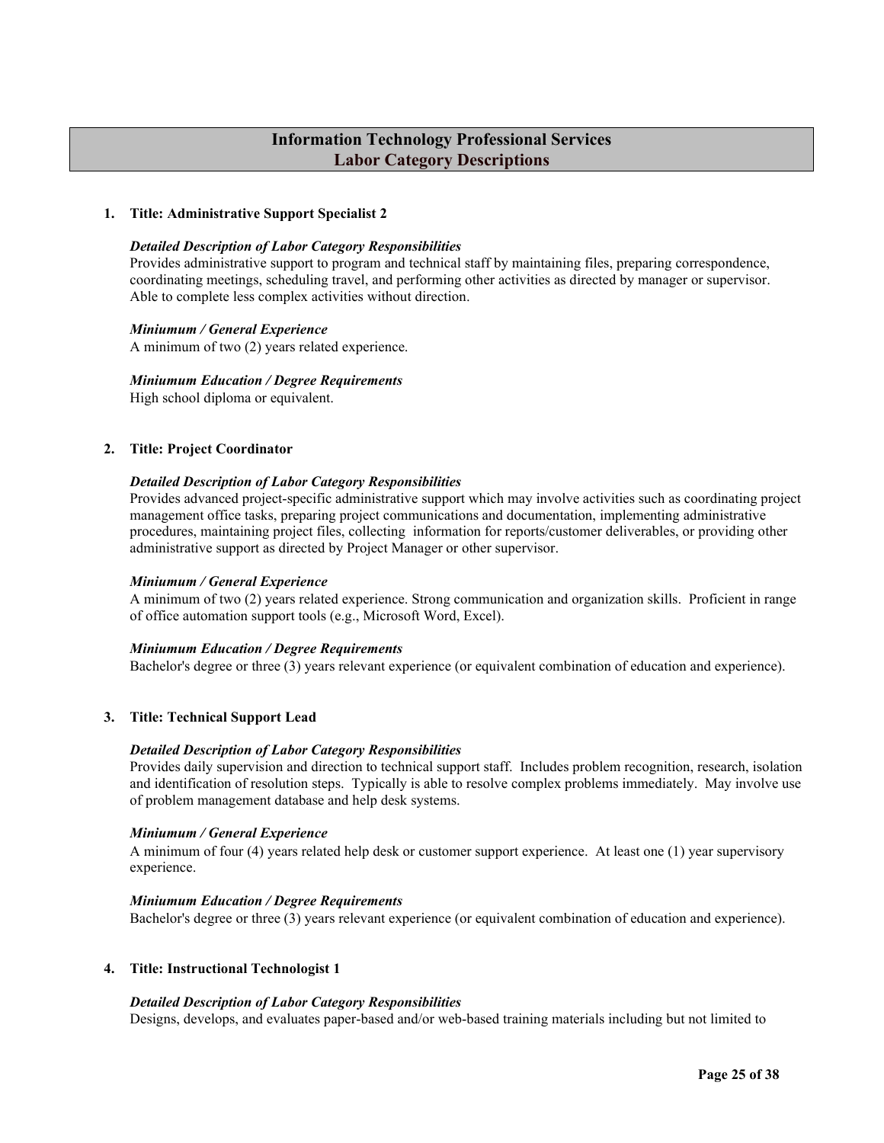# **Information Technology Professional Services Labor Category Descriptions**

## **1. Title: Administrative Support Specialist 2**

## *Detailed Description of Labor Category Responsibilities*

Provides administrative support to program and technical staff by maintaining files, preparing correspondence, coordinating meetings, scheduling travel, and performing other activities as directed by manager or supervisor. Able to complete less complex activities without direction.

## *Miniumum / General Experience*

A minimum of two (2) years related experience.

## *Miniumum Education / Degree Requirements*

High school diploma or equivalent.

## **2. Title: Project Coordinator**

## *Detailed Description of Labor Category Responsibilities*

Provides advanced project-specific administrative support which may involve activities such as coordinating project management office tasks, preparing project communications and documentation, implementing administrative procedures, maintaining project files, collecting information for reports/customer deliverables, or providing other administrative support as directed by Project Manager or other supervisor.

#### *Miniumum / General Experience*

A minimum of two (2) years related experience. Strong communication and organization skills. Proficient in range of office automation support tools (e.g., Microsoft Word, Excel).

#### *Miniumum Education / Degree Requirements*

Bachelor's degree or three (3) years relevant experience (or equivalent combination of education and experience).

## **3. Title: Technical Support Lead**

#### *Detailed Description of Labor Category Responsibilities*

Provides daily supervision and direction to technical support staff. Includes problem recognition, research, isolation and identification of resolution steps. Typically is able to resolve complex problems immediately. May involve use of problem management database and help desk systems.

#### *Miniumum / General Experience*

A minimum of four (4) years related help desk or customer support experience. At least one (1) year supervisory experience.

#### *Miniumum Education / Degree Requirements*

Bachelor's degree or three (3) years relevant experience (or equivalent combination of education and experience).

#### **4. Title: Instructional Technologist 1**

#### *Detailed Description of Labor Category Responsibilities*

Designs, develops, and evaluates paper-based and/or web-based training materials including but not limited to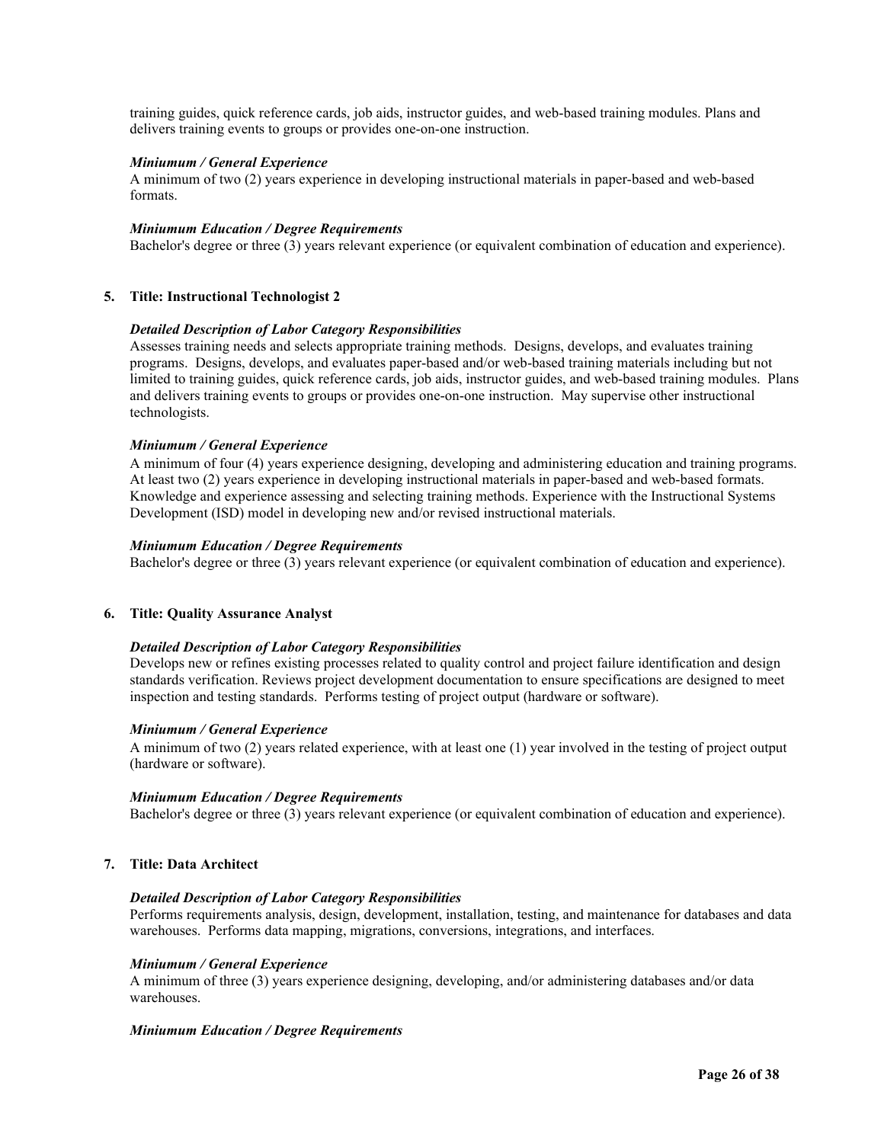training guides, quick reference cards, job aids, instructor guides, and web-based training modules. Plans and delivers training events to groups or provides one-on-one instruction.

## *Miniumum / General Experience*

A minimum of two (2) years experience in developing instructional materials in paper-based and web-based formats.

#### *Miniumum Education / Degree Requirements*

Bachelor's degree or three (3) years relevant experience (or equivalent combination of education and experience).

#### **5. Title: Instructional Technologist 2**

#### *Detailed Description of Labor Category Responsibilities*

Assesses training needs and selects appropriate training methods. Designs, develops, and evaluates training programs. Designs, develops, and evaluates paper-based and/or web-based training materials including but not limited to training guides, quick reference cards, job aids, instructor guides, and web-based training modules. Plans and delivers training events to groups or provides one-on-one instruction. May supervise other instructional technologists.

#### *Miniumum / General Experience*

A minimum of four (4) years experience designing, developing and administering education and training programs. At least two (2) years experience in developing instructional materials in paper-based and web-based formats. Knowledge and experience assessing and selecting training methods. Experience with the Instructional Systems Development (ISD) model in developing new and/or revised instructional materials.

### *Miniumum Education / Degree Requirements*

Bachelor's degree or three (3) years relevant experience (or equivalent combination of education and experience).

#### **6. Title: Quality Assurance Analyst**

#### *Detailed Description of Labor Category Responsibilities*

Develops new or refines existing processes related to quality control and project failure identification and design standards verification. Reviews project development documentation to ensure specifications are designed to meet inspection and testing standards. Performs testing of project output (hardware or software).

#### *Miniumum / General Experience*

A minimum of two (2) years related experience, with at least one (1) year involved in the testing of project output (hardware or software).

#### *Miniumum Education / Degree Requirements*

Bachelor's degree or three (3) years relevant experience (or equivalent combination of education and experience).

## **7. Title: Data Architect**

#### *Detailed Description of Labor Category Responsibilities*

Performs requirements analysis, design, development, installation, testing, and maintenance for databases and data warehouses. Performs data mapping, migrations, conversions, integrations, and interfaces.

#### *Miniumum / General Experience*

A minimum of three (3) years experience designing, developing, and/or administering databases and/or data warehouses.

#### *Miniumum Education / Degree Requirements*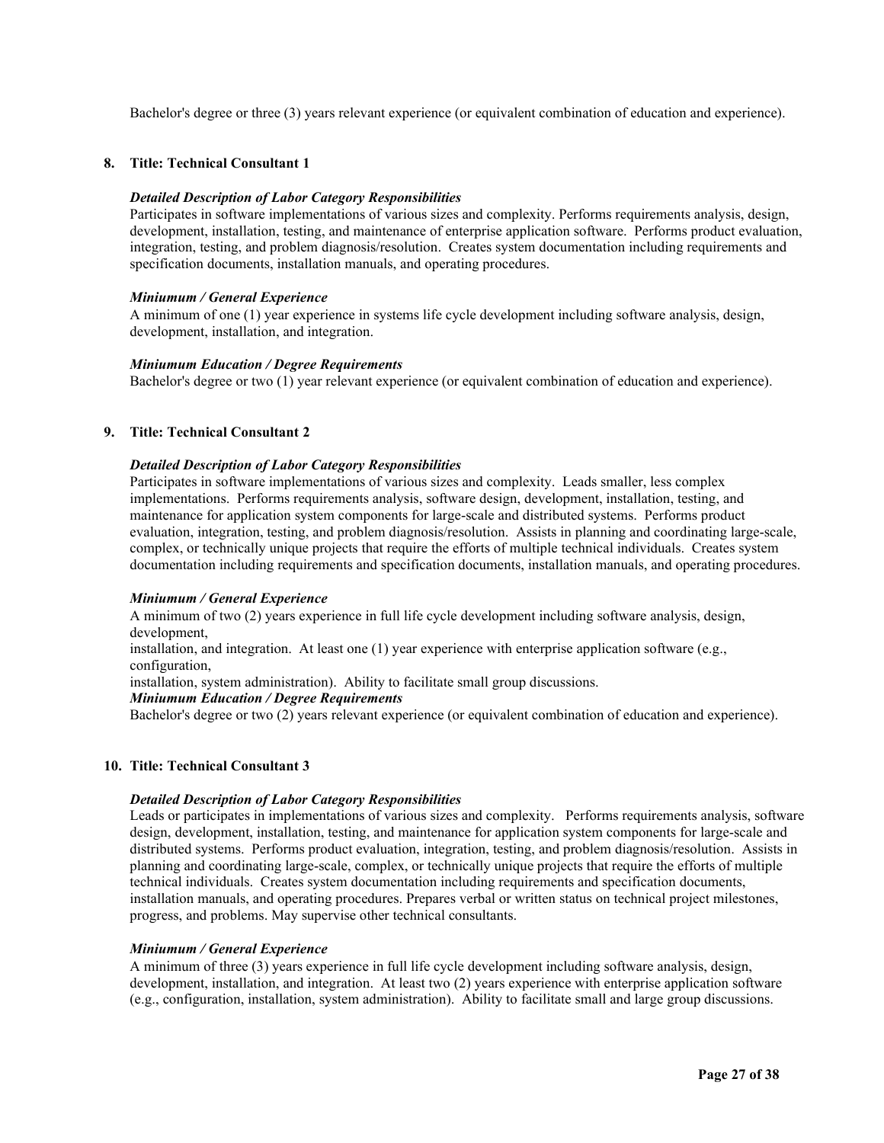Bachelor's degree or three (3) years relevant experience (or equivalent combination of education and experience).

## **8. Title: Technical Consultant 1**

### *Detailed Description of Labor Category Responsibilities*

Participates in software implementations of various sizes and complexity. Performs requirements analysis, design, development, installation, testing, and maintenance of enterprise application software. Performs product evaluation, integration, testing, and problem diagnosis/resolution. Creates system documentation including requirements and specification documents, installation manuals, and operating procedures.

#### *Miniumum / General Experience*

A minimum of one (1) year experience in systems life cycle development including software analysis, design, development, installation, and integration.

#### *Miniumum Education / Degree Requirements*

Bachelor's degree or two (1) year relevant experience (or equivalent combination of education and experience).

## **9. Title: Technical Consultant 2**

## *Detailed Description of Labor Category Responsibilities*

Participates in software implementations of various sizes and complexity. Leads smaller, less complex implementations. Performs requirements analysis, software design, development, installation, testing, and maintenance for application system components for large-scale and distributed systems. Performs product evaluation, integration, testing, and problem diagnosis/resolution. Assists in planning and coordinating large-scale, complex, or technically unique projects that require the efforts of multiple technical individuals. Creates system documentation including requirements and specification documents, installation manuals, and operating procedures.

#### *Miniumum / General Experience*

A minimum of two (2) years experience in full life cycle development including software analysis, design, development,

installation, and integration. At least one (1) year experience with enterprise application software (e.g., configuration,

installation, system administration). Ability to facilitate small group discussions.

### *Miniumum Education / Degree Requirements*

Bachelor's degree or two (2) years relevant experience (or equivalent combination of education and experience).

#### **10. Title: Technical Consultant 3**

#### *Detailed Description of Labor Category Responsibilities*

Leads or participates in implementations of various sizes and complexity. Performs requirements analysis, software design, development, installation, testing, and maintenance for application system components for large-scale and distributed systems. Performs product evaluation, integration, testing, and problem diagnosis/resolution. Assists in planning and coordinating large-scale, complex, or technically unique projects that require the efforts of multiple technical individuals. Creates system documentation including requirements and specification documents, installation manuals, and operating procedures. Prepares verbal or written status on technical project milestones, progress, and problems. May supervise other technical consultants.

#### *Miniumum / General Experience*

A minimum of three (3) years experience in full life cycle development including software analysis, design, development, installation, and integration. At least two (2) years experience with enterprise application software (e.g., configuration, installation, system administration). Ability to facilitate small and large group discussions.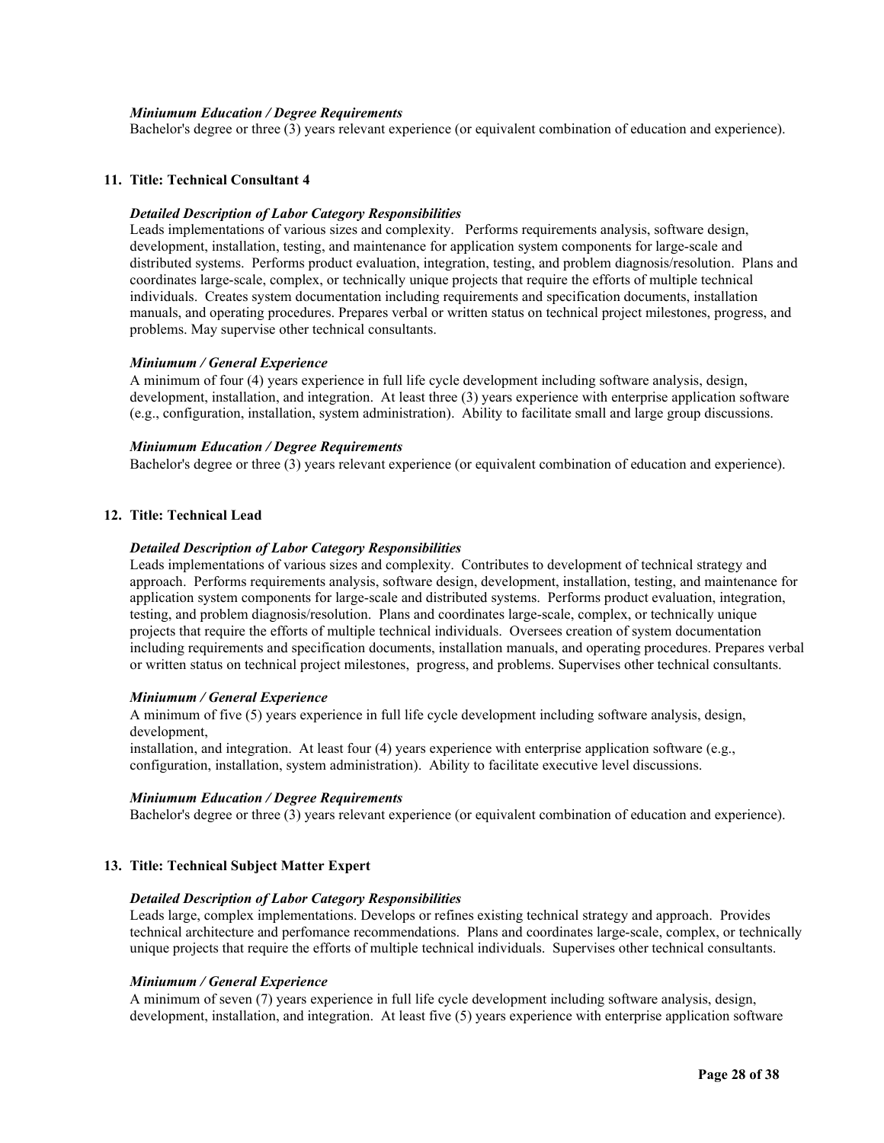#### *Miniumum Education / Degree Requirements*

Bachelor's degree or three (3) years relevant experience (or equivalent combination of education and experience).

#### **11. Title: Technical Consultant 4**

#### *Detailed Description of Labor Category Responsibilities*

Leads implementations of various sizes and complexity. Performs requirements analysis, software design, development, installation, testing, and maintenance for application system components for large-scale and distributed systems. Performs product evaluation, integration, testing, and problem diagnosis/resolution. Plans and coordinates large-scale, complex, or technically unique projects that require the efforts of multiple technical individuals. Creates system documentation including requirements and specification documents, installation manuals, and operating procedures. Prepares verbal or written status on technical project milestones, progress, and problems. May supervise other technical consultants.

#### *Miniumum / General Experience*

A minimum of four (4) years experience in full life cycle development including software analysis, design, development, installation, and integration. At least three (3) years experience with enterprise application software (e.g., configuration, installation, system administration). Ability to facilitate small and large group discussions.

#### *Miniumum Education / Degree Requirements*

Bachelor's degree or three (3) years relevant experience (or equivalent combination of education and experience).

### **12. Title: Technical Lead**

#### *Detailed Description of Labor Category Responsibilities*

Leads implementations of various sizes and complexity. Contributes to development of technical strategy and approach. Performs requirements analysis, software design, development, installation, testing, and maintenance for application system components for large-scale and distributed systems. Performs product evaluation, integration, testing, and problem diagnosis/resolution. Plans and coordinates large-scale, complex, or technically unique projects that require the efforts of multiple technical individuals. Oversees creation of system documentation including requirements and specification documents, installation manuals, and operating procedures. Prepares verbal or written status on technical project milestones, progress, and problems. Supervises other technical consultants.

#### *Miniumum / General Experience*

A minimum of five (5) years experience in full life cycle development including software analysis, design, development,

installation, and integration. At least four (4) years experience with enterprise application software (e.g., configuration, installation, system administration). Ability to facilitate executive level discussions.

#### *Miniumum Education / Degree Requirements*

Bachelor's degree or three (3) years relevant experience (or equivalent combination of education and experience).

#### **13. Title: Technical Subject Matter Expert**

#### *Detailed Description of Labor Category Responsibilities*

Leads large, complex implementations. Develops or refines existing technical strategy and approach. Provides technical architecture and perfomance recommendations. Plans and coordinates large-scale, complex, or technically unique projects that require the efforts of multiple technical individuals. Supervises other technical consultants.

#### *Miniumum / General Experience*

A minimum of seven (7) years experience in full life cycle development including software analysis, design, development, installation, and integration. At least five (5) years experience with enterprise application software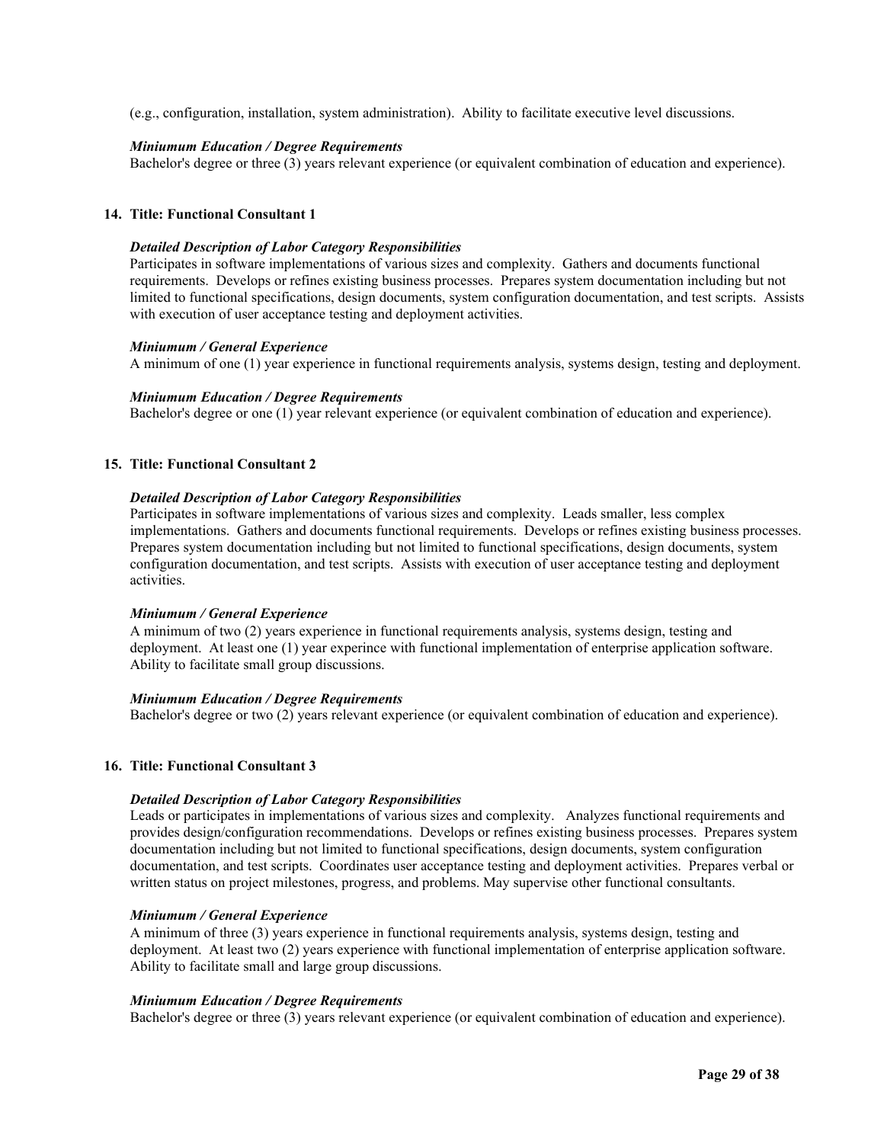(e.g., configuration, installation, system administration). Ability to facilitate executive level discussions.

## *Miniumum Education / Degree Requirements*

Bachelor's degree or three (3) years relevant experience (or equivalent combination of education and experience).

## **14. Title: Functional Consultant 1**

### *Detailed Description of Labor Category Responsibilities*

Participates in software implementations of various sizes and complexity. Gathers and documents functional requirements. Develops or refines existing business processes. Prepares system documentation including but not limited to functional specifications, design documents, system configuration documentation, and test scripts. Assists with execution of user acceptance testing and deployment activities.

#### *Miniumum / General Experience*

A minimum of one (1) year experience in functional requirements analysis, systems design, testing and deployment.

## *Miniumum Education / Degree Requirements*

Bachelor's degree or one (1) year relevant experience (or equivalent combination of education and experience).

## **15. Title: Functional Consultant 2**

## *Detailed Description of Labor Category Responsibilities*

Participates in software implementations of various sizes and complexity. Leads smaller, less complex implementations. Gathers and documents functional requirements. Develops or refines existing business processes. Prepares system documentation including but not limited to functional specifications, design documents, system configuration documentation, and test scripts. Assists with execution of user acceptance testing and deployment activities.

#### *Miniumum / General Experience*

A minimum of two (2) years experience in functional requirements analysis, systems design, testing and deployment. At least one (1) year experince with functional implementation of enterprise application software. Ability to facilitate small group discussions.

#### *Miniumum Education / Degree Requirements*

Bachelor's degree or two (2) years relevant experience (or equivalent combination of education and experience).

## **16. Title: Functional Consultant 3**

## *Detailed Description of Labor Category Responsibilities*

Leads or participates in implementations of various sizes and complexity. Analyzes functional requirements and provides design/configuration recommendations. Develops or refines existing business processes. Prepares system documentation including but not limited to functional specifications, design documents, system configuration documentation, and test scripts. Coordinates user acceptance testing and deployment activities. Prepares verbal or written status on project milestones, progress, and problems. May supervise other functional consultants.

#### *Miniumum / General Experience*

A minimum of three (3) years experience in functional requirements analysis, systems design, testing and deployment. At least two (2) years experience with functional implementation of enterprise application software. Ability to facilitate small and large group discussions.

#### *Miniumum Education / Degree Requirements*

Bachelor's degree or three (3) years relevant experience (or equivalent combination of education and experience).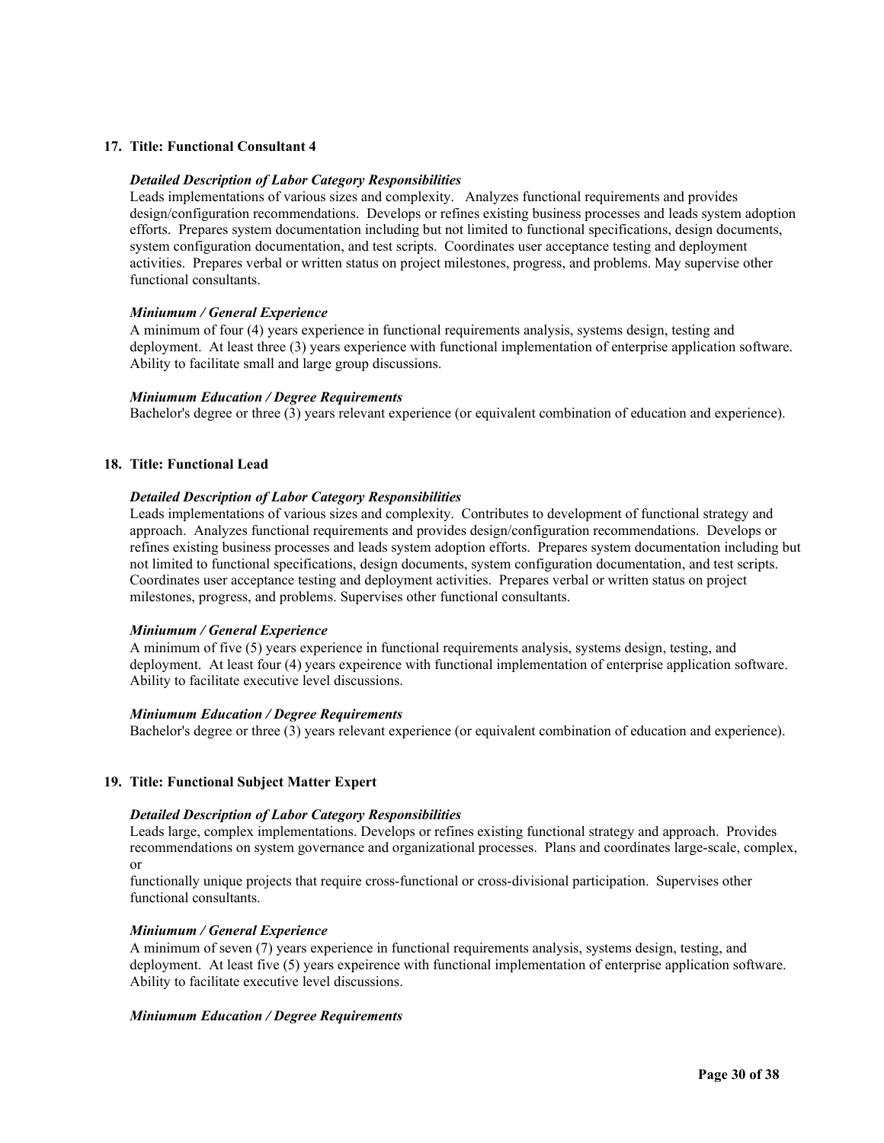## **17. Title: Functional Consultant 4**

#### *Detailed Description of Labor Category Responsibilities*

Leads implementations of various sizes and complexity. Analyzes functional requirements and provides design/configuration recommendations. Develops or refines existing business processes and leads system adoption efforts. Prepares system documentation including but not limited to functional specifications, design documents, system configuration documentation, and test scripts. Coordinates user acceptance testing and deployment activities. Prepares verbal or written status on project milestones, progress, and problems. May supervise other functional consultants.

#### *Miniumum / General Experience*

A minimum of four (4) years experience in functional requirements analysis, systems design, testing and deployment. At least three (3) years experience with functional implementation of enterprise application software. Ability to facilitate small and large group discussions.

#### *Miniumum Education / Degree Requirements*

Bachelor's degree or three (3) years relevant experience (or equivalent combination of education and experience).

#### **18. Title: Functional Lead**

#### *Detailed Description of Labor Category Responsibilities*

Leads implementations of various sizes and complexity. Contributes to development of functional strategy and approach. Analyzes functional requirements and provides design/configuration recommendations. Develops or refines existing business processes and leads system adoption efforts. Prepares system documentation including but not limited to functional specifications, design documents, system configuration documentation, and test scripts. Coordinates user acceptance testing and deployment activities. Prepares verbal or written status on project milestones, progress, and problems. Supervises other functional consultants.

#### *Miniumum / General Experience*

A minimum of five (5) years experience in functional requirements analysis, systems design, testing, and deployment. At least four (4) years expeirence with functional implementation of enterprise application software. Ability to facilitate executive level discussions.

#### *Miniumum Education / Degree Requirements*

Bachelor's degree or three (3) years relevant experience (or equivalent combination of education and experience).

#### **19. Title: Functional Subject Matter Expert**

#### *Detailed Description of Labor Category Responsibilities*

Leads large, complex implementations. Develops or refines existing functional strategy and approach. Provides recommendations on system governance and organizational processes. Plans and coordinates large-scale, complex, or

functionally unique projects that require cross-functional or cross-divisional participation. Supervises other functional consultants.

#### *Miniumum / General Experience*

A minimum of seven (7) years experience in functional requirements analysis, systems design, testing, and deployment. At least five (5) years expeirence with functional implementation of enterprise application software. Ability to facilitate executive level discussions.

#### *Miniumum Education / Degree Requirements*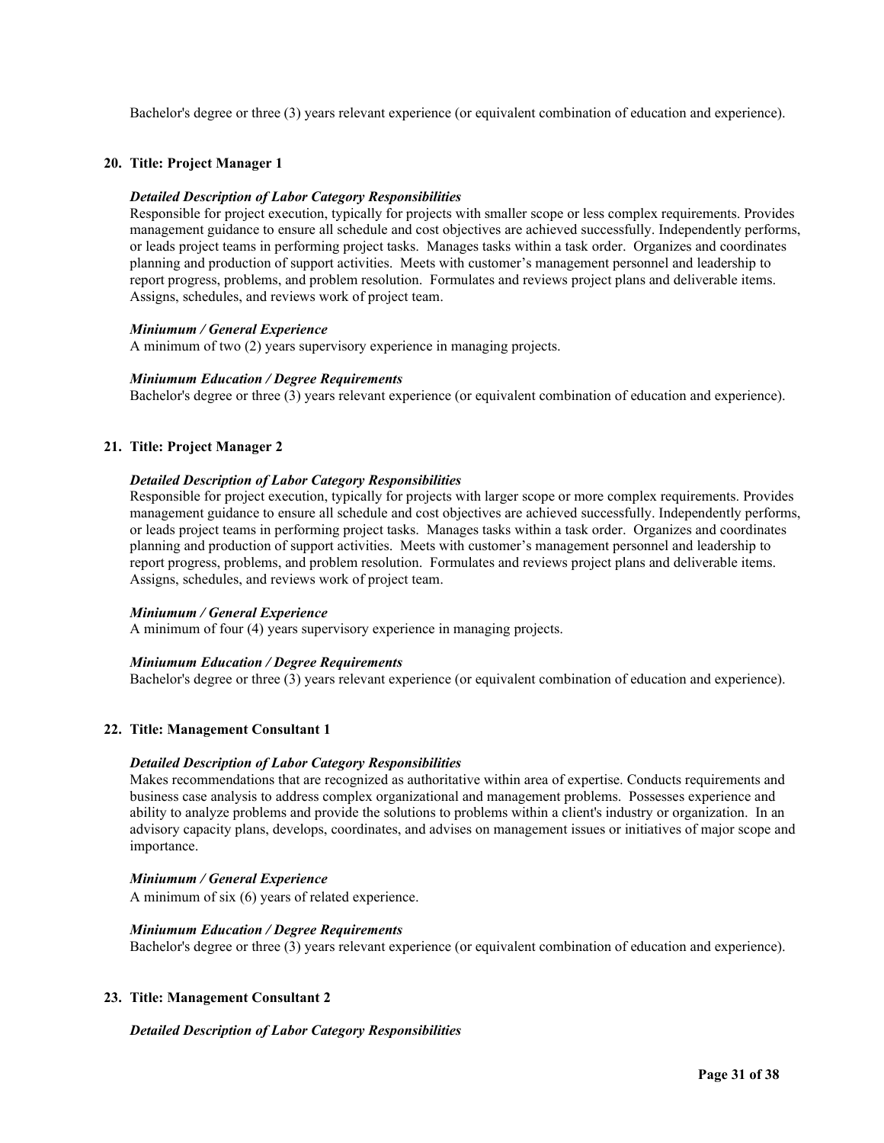Bachelor's degree or three (3) years relevant experience (or equivalent combination of education and experience).

## **20. Title: Project Manager 1**

#### *Detailed Description of Labor Category Responsibilities*

Responsible for project execution, typically for projects with smaller scope or less complex requirements. Provides management guidance to ensure all schedule and cost objectives are achieved successfully. Independently performs, or leads project teams in performing project tasks. Manages tasks within a task order. Organizes and coordinates planning and production of support activities. Meets with customer's management personnel and leadership to report progress, problems, and problem resolution. Formulates and reviews project plans and deliverable items. Assigns, schedules, and reviews work of project team.

#### *Miniumum / General Experience*

A minimum of two (2) years supervisory experience in managing projects.

#### *Miniumum Education / Degree Requirements*

Bachelor's degree or three (3) years relevant experience (or equivalent combination of education and experience).

#### **21. Title: Project Manager 2**

#### *Detailed Description of Labor Category Responsibilities*

Responsible for project execution, typically for projects with larger scope or more complex requirements. Provides management guidance to ensure all schedule and cost objectives are achieved successfully. Independently performs, or leads project teams in performing project tasks. Manages tasks within a task order. Organizes and coordinates planning and production of support activities. Meets with customer's management personnel and leadership to report progress, problems, and problem resolution. Formulates and reviews project plans and deliverable items. Assigns, schedules, and reviews work of project team.

#### *Miniumum / General Experience*

A minimum of four (4) years supervisory experience in managing projects.

#### *Miniumum Education / Degree Requirements*

Bachelor's degree or three (3) years relevant experience (or equivalent combination of education and experience).

#### **22. Title: Management Consultant 1**

#### *Detailed Description of Labor Category Responsibilities*

Makes recommendations that are recognized as authoritative within area of expertise. Conducts requirements and business case analysis to address complex organizational and management problems. Possesses experience and ability to analyze problems and provide the solutions to problems within a client's industry or organization. In an advisory capacity plans, develops, coordinates, and advises on management issues or initiatives of major scope and importance.

#### *Miniumum / General Experience*

A minimum of six (6) years of related experience.

#### *Miniumum Education / Degree Requirements*

Bachelor's degree or three (3) years relevant experience (or equivalent combination of education and experience).

#### **23. Title: Management Consultant 2**

#### *Detailed Description of Labor Category Responsibilities*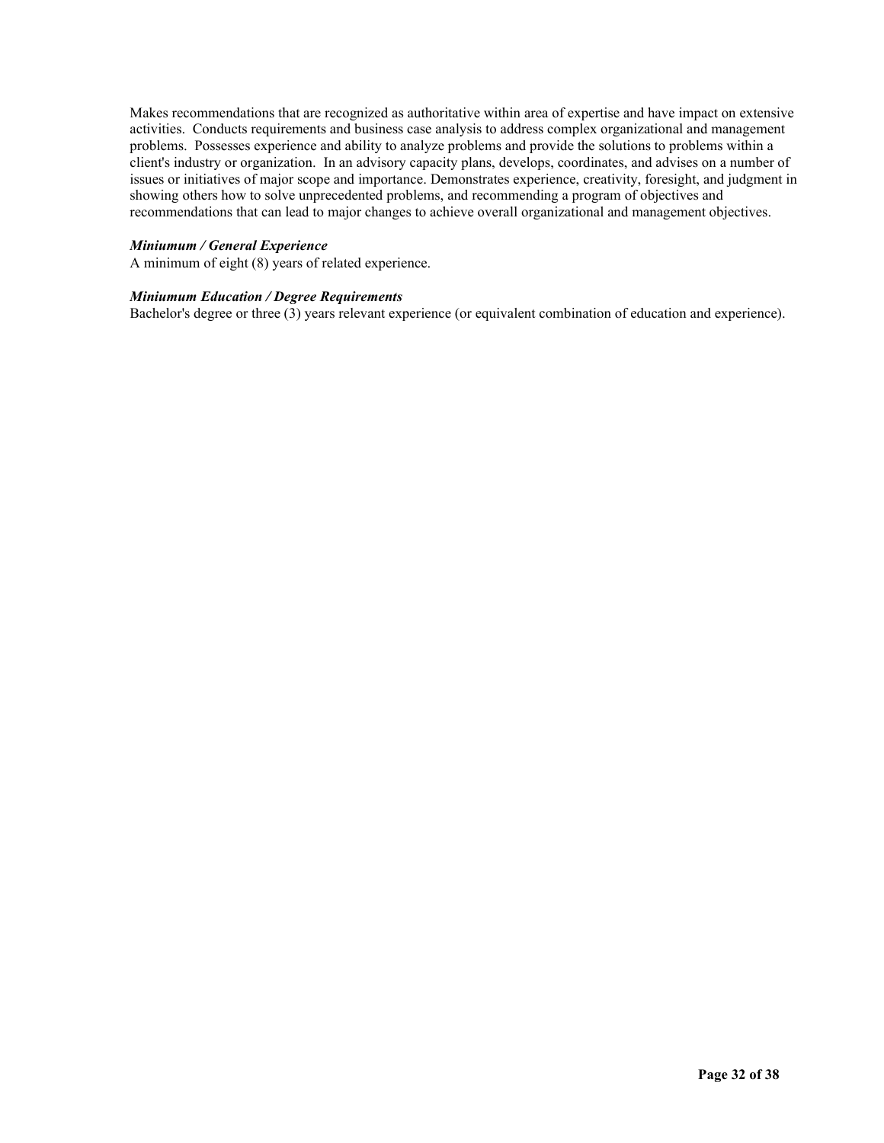Makes recommendations that are recognized as authoritative within area of expertise and have impact on extensive activities. Conducts requirements and business case analysis to address complex organizational and management problems. Possesses experience and ability to analyze problems and provide the solutions to problems within a client's industry or organization. In an advisory capacity plans, develops, coordinates, and advises on a number of issues or initiatives of major scope and importance. Demonstrates experience, creativity, foresight, and judgment in showing others how to solve unprecedented problems, and recommending a program of objectives and recommendations that can lead to major changes to achieve overall organizational and management objectives.

## *Miniumum / General Experience*

A minimum of eight (8) years of related experience.

## *Miniumum Education / Degree Requirements*

Bachelor's degree or three (3) years relevant experience (or equivalent combination of education and experience).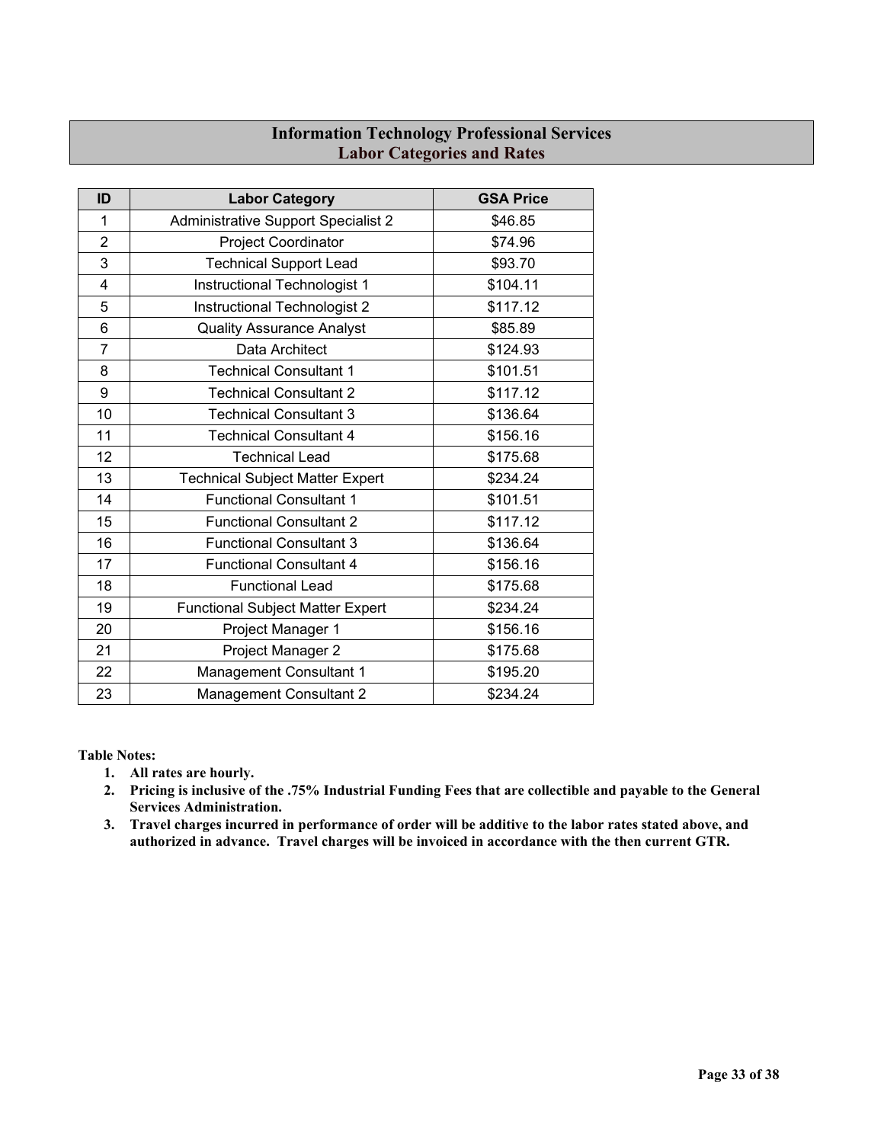# **Information Technology Professional Services Labor Categories and Rates**

| ID             | <b>Labor Category</b>                      | <b>GSA Price</b> |
|----------------|--------------------------------------------|------------------|
| 1              | <b>Administrative Support Specialist 2</b> | \$46.85          |
| $\overline{2}$ | Project Coordinator                        | \$74.96          |
| 3              | <b>Technical Support Lead</b>              | \$93.70          |
| 4              | Instructional Technologist 1               | \$104.11         |
| 5              | Instructional Technologist 2               | \$117.12         |
| 6              | <b>Quality Assurance Analyst</b>           | \$85.89          |
| $\overline{7}$ | Data Architect                             | \$124.93         |
| 8              | <b>Technical Consultant 1</b>              | \$101.51         |
| 9              | <b>Technical Consultant 2</b>              | \$117.12         |
| 10             | <b>Technical Consultant 3</b>              | \$136.64         |
| 11             | <b>Technical Consultant 4</b>              | \$156.16         |
| 12             | <b>Technical Lead</b>                      | \$175.68         |
| 13             | <b>Technical Subject Matter Expert</b>     | \$234.24         |
| 14             | <b>Functional Consultant 1</b>             | \$101.51         |
| 15             | <b>Functional Consultant 2</b>             | \$117.12         |
| 16             | <b>Functional Consultant 3</b>             | \$136.64         |
| 17             | <b>Functional Consultant 4</b>             | \$156.16         |
| 18             | <b>Functional Lead</b>                     | \$175.68         |
| 19             | <b>Functional Subject Matter Expert</b>    | \$234.24         |
| 20             | Project Manager 1                          | \$156.16         |
| 21             | Project Manager 2                          | \$175.68         |
| 22             | <b>Management Consultant 1</b>             | \$195.20         |
| 23             | <b>Management Consultant 2</b>             | \$234.24         |

**Table Notes:**

- **1. All rates are hourly.**
- **2. Pricing is inclusive of the .75% Industrial Funding Fees that are collectible and payable to the General Services Administration.**
- **3. Travel charges incurred in performance of order will be additive to the labor rates stated above, and authorized in advance. Travel charges will be invoiced in accordance with the then current GTR.**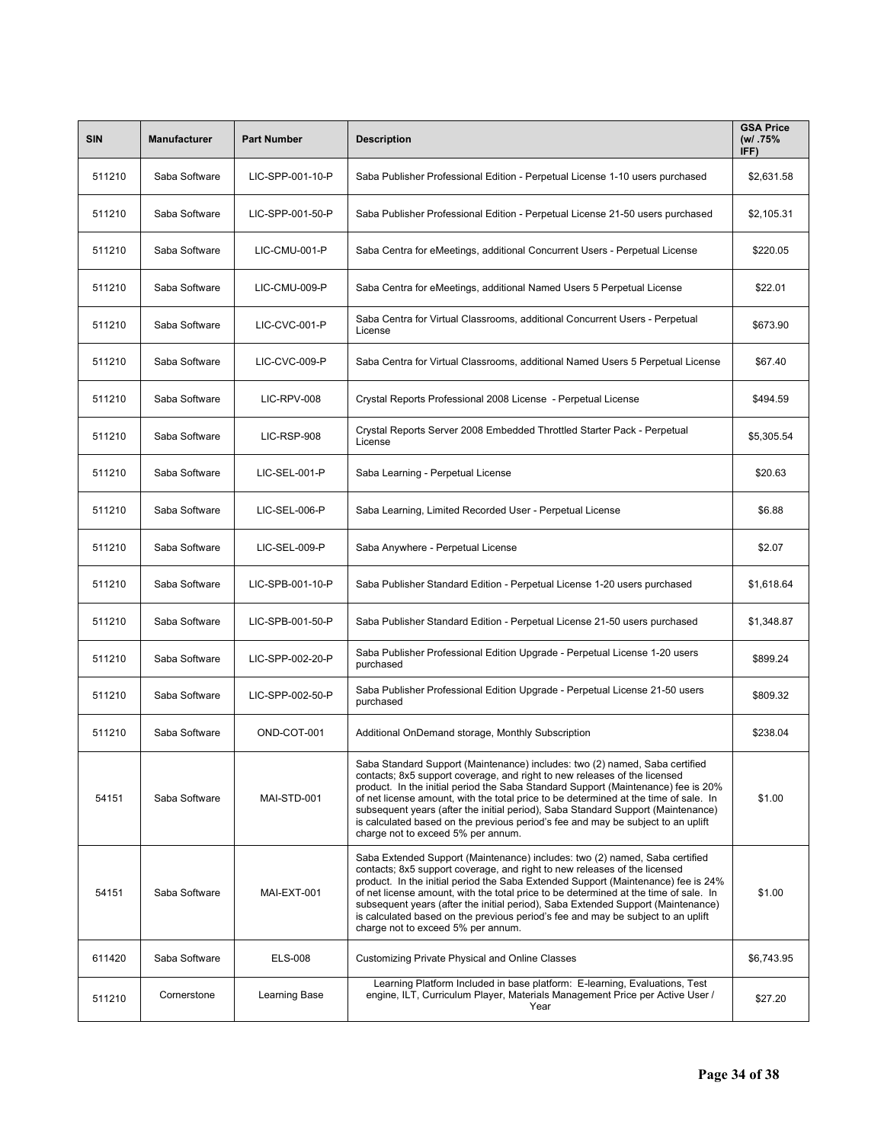| <b>SIN</b> | <b>Manufacturer</b> | <b>Part Number</b> | <b>Description</b>                                                                                                                                                                                                                                                                                                                                                                                                                                                                                                                                  | <b>GSA Price</b><br>(w/ .75%<br>IFF) |
|------------|---------------------|--------------------|-----------------------------------------------------------------------------------------------------------------------------------------------------------------------------------------------------------------------------------------------------------------------------------------------------------------------------------------------------------------------------------------------------------------------------------------------------------------------------------------------------------------------------------------------------|--------------------------------------|
| 511210     | Saba Software       | LIC-SPP-001-10-P   | Saba Publisher Professional Edition - Perpetual License 1-10 users purchased                                                                                                                                                                                                                                                                                                                                                                                                                                                                        | \$2,631.58                           |
| 511210     | Saba Software       | LIC-SPP-001-50-P   | Saba Publisher Professional Edition - Perpetual License 21-50 users purchased                                                                                                                                                                                                                                                                                                                                                                                                                                                                       | \$2,105.31                           |
| 511210     | Saba Software       | LIC-CMU-001-P      | Saba Centra for eMeetings, additional Concurrent Users - Perpetual License                                                                                                                                                                                                                                                                                                                                                                                                                                                                          | \$220.05                             |
| 511210     | Saba Software       | LIC-CMU-009-P      | Saba Centra for eMeetings, additional Named Users 5 Perpetual License                                                                                                                                                                                                                                                                                                                                                                                                                                                                               | \$22.01                              |
| 511210     | Saba Software       | LIC-CVC-001-P      | Saba Centra for Virtual Classrooms, additional Concurrent Users - Perpetual<br>License                                                                                                                                                                                                                                                                                                                                                                                                                                                              | \$673.90                             |
| 511210     | Saba Software       | LIC-CVC-009-P      | Saba Centra for Virtual Classrooms, additional Named Users 5 Perpetual License                                                                                                                                                                                                                                                                                                                                                                                                                                                                      | \$67.40                              |
| 511210     | Saba Software       | LIC-RPV-008        | Crystal Reports Professional 2008 License - Perpetual License                                                                                                                                                                                                                                                                                                                                                                                                                                                                                       | \$494.59                             |
| 511210     | Saba Software       | LIC-RSP-908        | Crystal Reports Server 2008 Embedded Throttled Starter Pack - Perpetual<br>License                                                                                                                                                                                                                                                                                                                                                                                                                                                                  | \$5,305.54                           |
| 511210     | Saba Software       | LIC-SEL-001-P      | Saba Learning - Perpetual License                                                                                                                                                                                                                                                                                                                                                                                                                                                                                                                   | \$20.63                              |
| 511210     | Saba Software       | LIC-SEL-006-P      | Saba Learning, Limited Recorded User - Perpetual License                                                                                                                                                                                                                                                                                                                                                                                                                                                                                            | \$6.88                               |
| 511210     | Saba Software       | LIC-SEL-009-P      | Saba Anywhere - Perpetual License                                                                                                                                                                                                                                                                                                                                                                                                                                                                                                                   | \$2.07                               |
| 511210     | Saba Software       | LIC-SPB-001-10-P   | Saba Publisher Standard Edition - Perpetual License 1-20 users purchased                                                                                                                                                                                                                                                                                                                                                                                                                                                                            | \$1,618.64                           |
| 511210     | Saba Software       | LIC-SPB-001-50-P   | Saba Publisher Standard Edition - Perpetual License 21-50 users purchased                                                                                                                                                                                                                                                                                                                                                                                                                                                                           | \$1,348.87                           |
| 511210     | Saba Software       | LIC-SPP-002-20-P   | Saba Publisher Professional Edition Upgrade - Perpetual License 1-20 users<br>purchased                                                                                                                                                                                                                                                                                                                                                                                                                                                             | \$899.24                             |
| 511210     | Saba Software       | LIC-SPP-002-50-P   | Saba Publisher Professional Edition Upgrade - Perpetual License 21-50 users<br>purchased                                                                                                                                                                                                                                                                                                                                                                                                                                                            | \$809.32                             |
| 511210     | Saba Software       | OND-COT-001        | Additional OnDemand storage, Monthly Subscription                                                                                                                                                                                                                                                                                                                                                                                                                                                                                                   | \$238.04                             |
| 54151      | Saba Software       | MAI-STD-001        | Saba Standard Support (Maintenance) includes: two (2) named, Saba certified<br>contacts; 8x5 support coverage, and right to new releases of the licensed<br>product. In the initial period the Saba Standard Support (Maintenance) fee is 20%<br>of net license amount, with the total price to be determined at the time of sale. In<br>subsequent years (after the initial period), Saba Standard Support (Maintenance)<br>is calculated based on the previous period's fee and may be subject to an uplift<br>charge not to exceed 5% per annum. | \$1.00                               |
| 54151      | Saba Software       | MAI-EXT-001        | Saba Extended Support (Maintenance) includes: two (2) named, Saba certified<br>contacts; 8x5 support coverage, and right to new releases of the licensed<br>product. In the initial period the Saba Extended Support (Maintenance) fee is 24%<br>of net license amount, with the total price to be determined at the time of sale. In<br>subsequent years (after the initial period), Saba Extended Support (Maintenance)<br>is calculated based on the previous period's fee and may be subject to an uplift<br>charge not to exceed 5% per annum. | \$1.00                               |
| 611420     | Saba Software       | <b>ELS-008</b>     | Customizing Private Physical and Online Classes                                                                                                                                                                                                                                                                                                                                                                                                                                                                                                     | \$6,743.95                           |
| 511210     | Cornerstone         | Learning Base      | Learning Platform Included in base platform: E-learning, Evaluations, Test<br>engine, ILT, Curriculum Player, Materials Management Price per Active User /<br>Year                                                                                                                                                                                                                                                                                                                                                                                  | \$27.20                              |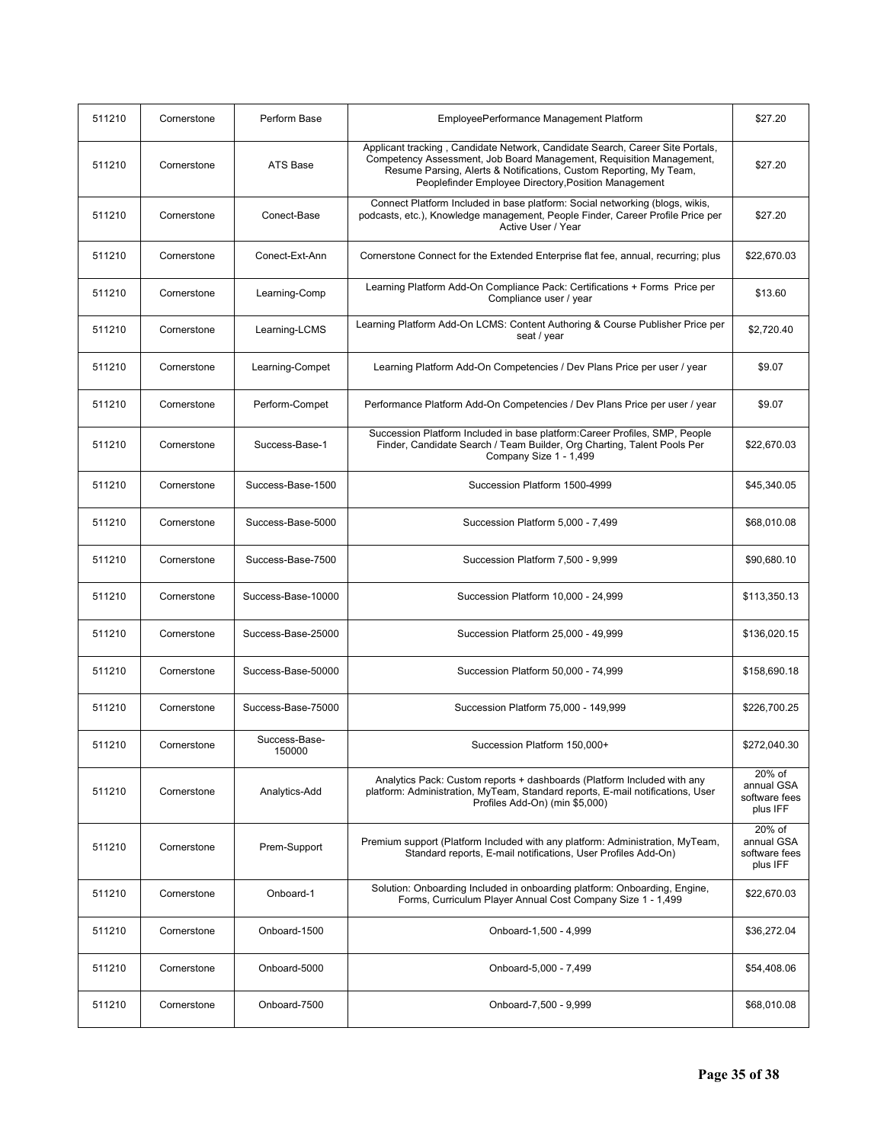| 511210 | Cornerstone | Perform Base            | EmployeePerformance Management Platform                                                                                                                                                                                                                                             | \$27.20                                           |
|--------|-------------|-------------------------|-------------------------------------------------------------------------------------------------------------------------------------------------------------------------------------------------------------------------------------------------------------------------------------|---------------------------------------------------|
| 511210 | Cornerstone | ATS Base                | Applicant tracking, Candidate Network, Candidate Search, Career Site Portals,<br>Competency Assessment, Job Board Management, Requisition Management,<br>Resume Parsing, Alerts & Notifications, Custom Reporting, My Team,<br>Peoplefinder Employee Directory, Position Management | \$27.20                                           |
| 511210 | Cornerstone | Conect-Base             | Connect Platform Included in base platform: Social networking (blogs, wikis,<br>podcasts, etc.), Knowledge management, People Finder, Career Profile Price per<br>Active User / Year                                                                                                | \$27.20                                           |
| 511210 | Cornerstone | Conect-Ext-Ann          | Cornerstone Connect for the Extended Enterprise flat fee, annual, recurring; plus                                                                                                                                                                                                   | \$22,670.03                                       |
| 511210 | Cornerstone | Learning-Comp           | Learning Platform Add-On Compliance Pack: Certifications + Forms Price per<br>Compliance user / year                                                                                                                                                                                | \$13.60                                           |
| 511210 | Cornerstone | Learning-LCMS           | Learning Platform Add-On LCMS: Content Authoring & Course Publisher Price per<br>seat / year                                                                                                                                                                                        | \$2,720.40                                        |
| 511210 | Cornerstone | Learning-Compet         | Learning Platform Add-On Competencies / Dev Plans Price per user / year                                                                                                                                                                                                             | \$9.07                                            |
| 511210 | Cornerstone | Perform-Compet          | Performance Platform Add-On Competencies / Dev Plans Price per user / year                                                                                                                                                                                                          | \$9.07                                            |
| 511210 | Cornerstone | Success-Base-1          | Succession Platform Included in base platform:Career Profiles, SMP, People<br>Finder, Candidate Search / Team Builder, Org Charting, Talent Pools Per<br>Company Size 1 - 1,499                                                                                                     | \$22,670.03                                       |
| 511210 | Cornerstone | Success-Base-1500       | Succession Platform 1500-4999                                                                                                                                                                                                                                                       | \$45,340.05                                       |
| 511210 | Cornerstone | Success-Base-5000       | Succession Platform 5,000 - 7,499                                                                                                                                                                                                                                                   | \$68,010.08                                       |
| 511210 | Cornerstone | Success-Base-7500       | Succession Platform 7,500 - 9,999                                                                                                                                                                                                                                                   | \$90,680.10                                       |
| 511210 | Cornerstone | Success-Base-10000      | Succession Platform 10,000 - 24,999                                                                                                                                                                                                                                                 | \$113,350.13                                      |
| 511210 | Cornerstone | Success-Base-25000      | Succession Platform 25,000 - 49,999                                                                                                                                                                                                                                                 | \$136,020.15                                      |
| 511210 | Cornerstone | Success-Base-50000      | Succession Platform 50,000 - 74,999                                                                                                                                                                                                                                                 | \$158,690.18                                      |
| 511210 | Cornerstone | Success-Base-75000      | Succession Platform 75,000 - 149,999                                                                                                                                                                                                                                                | \$226,700.25                                      |
| 511210 | Cornerstone | Success-Base-<br>150000 | Succession Platform 150,000+                                                                                                                                                                                                                                                        | \$272,040.30                                      |
| 511210 | Cornerstone | Analytics-Add           | Analytics Pack: Custom reports + dashboards (Platform Included with any<br>platform: Administration, MyTeam, Standard reports, E-mail notifications, User<br>Profiles Add-On) (min \$5,000)                                                                                         | 20% of<br>annual GSA<br>software fees<br>plus IFF |
| 511210 | Cornerstone | Prem-Support            | Premium support (Platform Included with any platform: Administration, MyTeam,<br>Standard reports, E-mail notifications, User Profiles Add-On)                                                                                                                                      | 20% of<br>annual GSA<br>software fees<br>plus IFF |
| 511210 | Cornerstone | Onboard-1               | Solution: Onboarding Included in onboarding platform: Onboarding, Engine,<br>Forms, Curriculum Player Annual Cost Company Size 1 - 1,499                                                                                                                                            | \$22,670.03                                       |
| 511210 | Cornerstone | Onboard-1500            | Onboard-1.500 - 4.999                                                                                                                                                                                                                                                               | \$36,272.04                                       |
| 511210 | Cornerstone | Onboard-5000            | Onboard-5,000 - 7,499                                                                                                                                                                                                                                                               | \$54,408.06                                       |
| 511210 | Cornerstone | Onboard-7500            | Onboard-7,500 - 9,999                                                                                                                                                                                                                                                               | \$68,010.08                                       |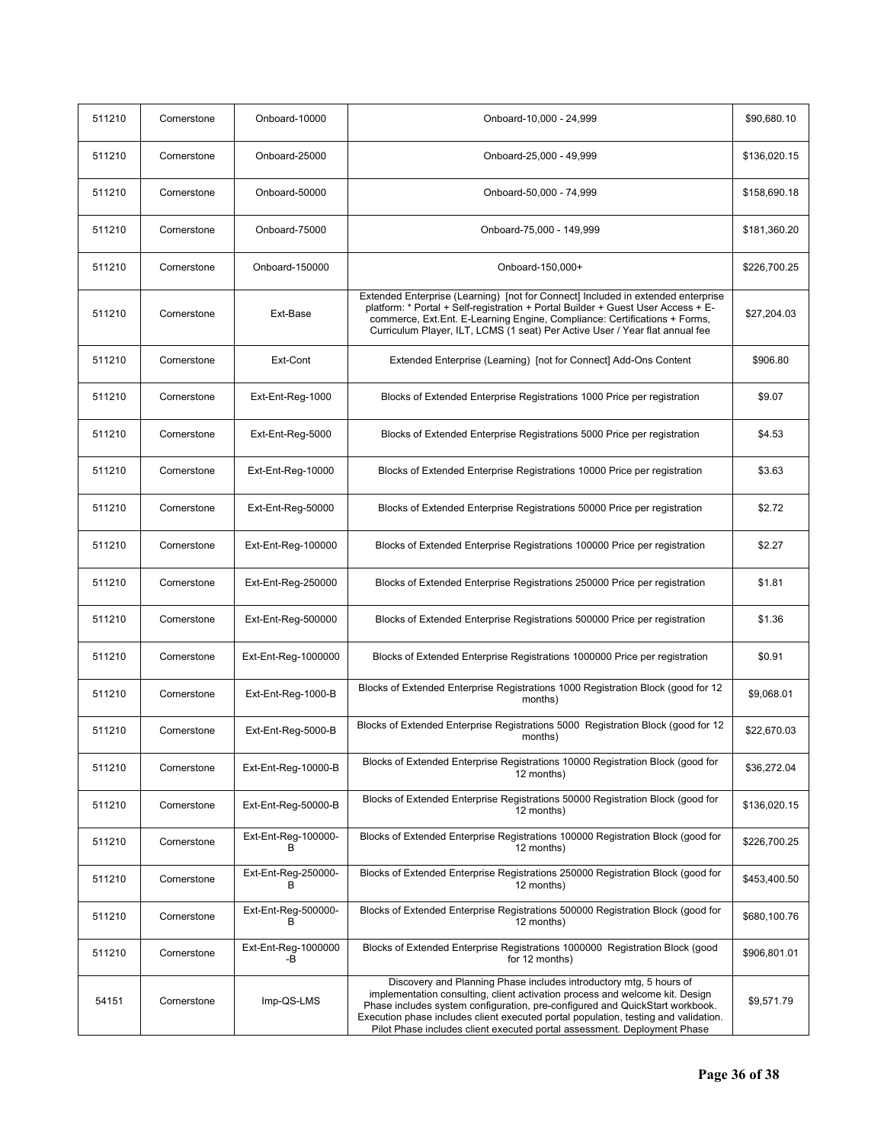| 511210 | Cornerstone | Onboard-10000             | Onboard-10,000 - 24,999                                                                                                                                                                                                                                                                                                                                                                               | \$90,680.10  |
|--------|-------------|---------------------------|-------------------------------------------------------------------------------------------------------------------------------------------------------------------------------------------------------------------------------------------------------------------------------------------------------------------------------------------------------------------------------------------------------|--------------|
| 511210 | Cornerstone | Onboard-25000             | Onboard-25,000 - 49,999                                                                                                                                                                                                                                                                                                                                                                               | \$136.020.15 |
| 511210 | Cornerstone | Onboard-50000             | Onboard-50,000 - 74,999                                                                                                                                                                                                                                                                                                                                                                               | \$158,690.18 |
| 511210 | Cornerstone | Onboard-75000             | Onboard-75,000 - 149,999                                                                                                                                                                                                                                                                                                                                                                              | \$181,360.20 |
| 511210 | Cornerstone | Onboard-150000            | Onboard-150,000+                                                                                                                                                                                                                                                                                                                                                                                      | \$226.700.25 |
| 511210 | Cornerstone | Ext-Base                  | Extended Enterprise (Learning) [not for Connect] Included in extended enterprise<br>platform: * Portal + Self-registration + Portal Builder + Guest User Access + E-<br>commerce, Ext.Ent. E-Learning Engine, Compliance: Certifications + Forms,<br>Curriculum Player, ILT, LCMS (1 seat) Per Active User / Year flat annual fee                                                                     | \$27,204.03  |
| 511210 | Cornerstone | Ext-Cont                  | Extended Enterprise (Learning) [not for Connect] Add-Ons Content                                                                                                                                                                                                                                                                                                                                      | \$906.80     |
| 511210 | Cornerstone | Ext-Ent-Reg-1000          | Blocks of Extended Enterprise Registrations 1000 Price per registration                                                                                                                                                                                                                                                                                                                               | \$9.07       |
| 511210 | Cornerstone | Ext-Ent-Reg-5000          | Blocks of Extended Enterprise Registrations 5000 Price per registration                                                                                                                                                                                                                                                                                                                               | \$4.53       |
| 511210 | Cornerstone | Ext-Ent-Reg-10000         | Blocks of Extended Enterprise Registrations 10000 Price per registration                                                                                                                                                                                                                                                                                                                              | \$3.63       |
| 511210 | Cornerstone | Ext-Ent-Reg-50000         | Blocks of Extended Enterprise Registrations 50000 Price per registration                                                                                                                                                                                                                                                                                                                              | \$2.72       |
| 511210 | Cornerstone | Ext-Ent-Reg-100000        | Blocks of Extended Enterprise Registrations 100000 Price per registration                                                                                                                                                                                                                                                                                                                             | \$2.27       |
| 511210 | Cornerstone | Ext-Ent-Reg-250000        | Blocks of Extended Enterprise Registrations 250000 Price per registration                                                                                                                                                                                                                                                                                                                             | \$1.81       |
| 511210 | Cornerstone | Ext-Ent-Reg-500000        | Blocks of Extended Enterprise Registrations 500000 Price per registration                                                                                                                                                                                                                                                                                                                             | \$1.36       |
| 511210 | Cornerstone | Ext-Ent-Reg-1000000       | Blocks of Extended Enterprise Registrations 1000000 Price per registration                                                                                                                                                                                                                                                                                                                            | \$0.91       |
| 511210 | Cornerstone | Ext-Ent-Reg-1000-B        | Blocks of Extended Enterprise Registrations 1000 Registration Block (good for 12<br>months)                                                                                                                                                                                                                                                                                                           | \$9.068.01   |
| 511210 | Cornerstone | Ext-Ent-Reg-5000-B        | Blocks of Extended Enterprise Registrations 5000 Registration Block (good for 12<br>months)                                                                                                                                                                                                                                                                                                           | \$22,670.03  |
| 511210 | Cornerstone | Ext-Ent-Reg-10000-B       | Blocks of Extended Enterprise Registrations 10000 Registration Block (good for<br>12 months)                                                                                                                                                                                                                                                                                                          | \$36,272.04  |
| 511210 | Cornerstone | Ext-Ent-Reg-50000-B       | Blocks of Extended Enterprise Registrations 50000 Registration Block (good for<br>12 months)                                                                                                                                                                                                                                                                                                          | \$136,020.15 |
| 511210 | Cornerstone | Ext-Ent-Reg-100000-<br>В  | Blocks of Extended Enterprise Registrations 100000 Registration Block (good for<br>12 months)                                                                                                                                                                                                                                                                                                         | \$226,700.25 |
| 511210 | Cornerstone | Ext-Ent-Reg-250000-<br>в  | Blocks of Extended Enterprise Registrations 250000 Registration Block (good for<br>12 months)                                                                                                                                                                                                                                                                                                         | \$453,400.50 |
| 511210 | Cornerstone | Ext-Ent-Reg-500000-<br>В  | Blocks of Extended Enterprise Registrations 500000 Registration Block (good for<br>12 months)                                                                                                                                                                                                                                                                                                         | \$680,100.76 |
| 511210 | Cornerstone | Ext-Ent-Reg-1000000<br>-В | Blocks of Extended Enterprise Registrations 1000000 Registration Block (good<br>for 12 months)                                                                                                                                                                                                                                                                                                        | \$906,801.01 |
| 54151  | Cornerstone | Imp-QS-LMS                | Discovery and Planning Phase includes introductory mtg, 5 hours of<br>implementation consulting, client activation process and welcome kit. Design<br>Phase includes system configuration, pre-configured and QuickStart workbook.<br>Execution phase includes client executed portal population, testing and validation.<br>Pilot Phase includes client executed portal assessment. Deployment Phase | \$9,571.79   |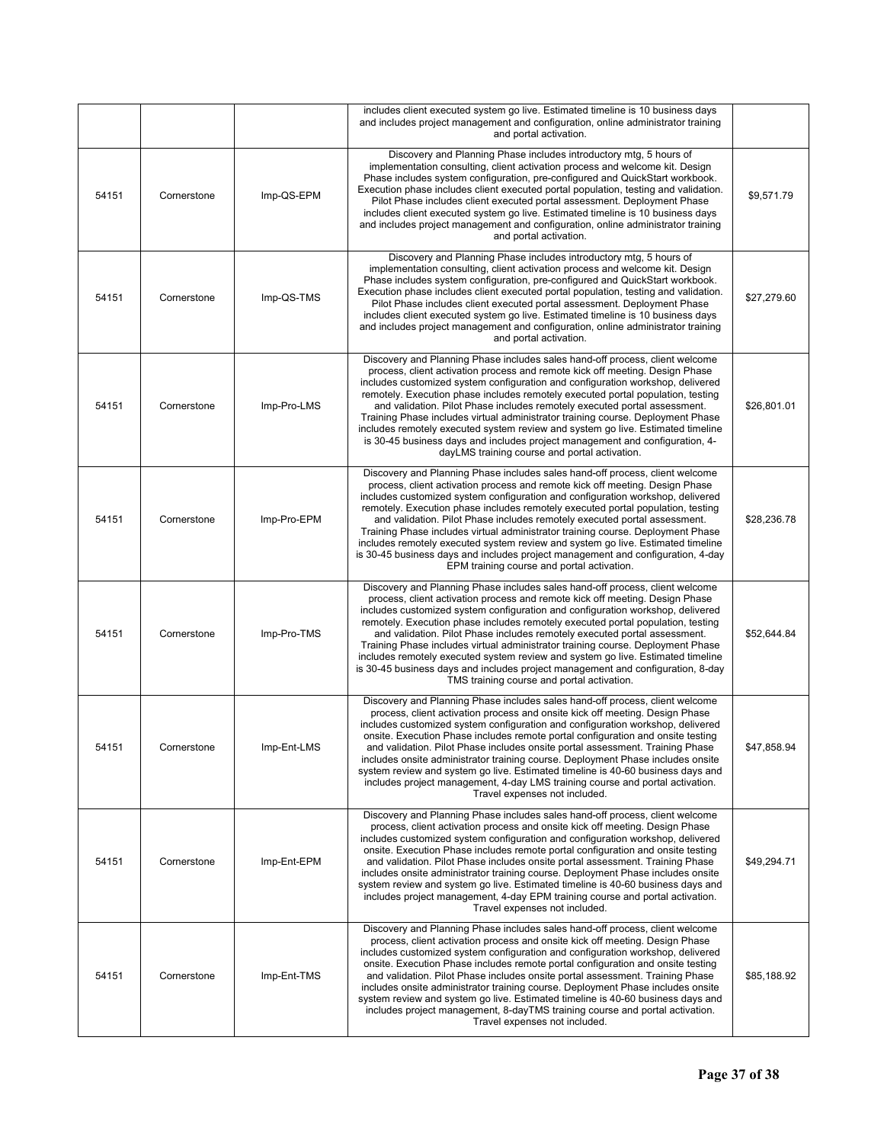|       |             |             | includes client executed system go live. Estimated timeline is 10 business days<br>and includes project management and configuration, online administrator training<br>and portal activation.                                                                                                                                                                                                                                                                                                                                                                                                                                                                                                                         |             |
|-------|-------------|-------------|-----------------------------------------------------------------------------------------------------------------------------------------------------------------------------------------------------------------------------------------------------------------------------------------------------------------------------------------------------------------------------------------------------------------------------------------------------------------------------------------------------------------------------------------------------------------------------------------------------------------------------------------------------------------------------------------------------------------------|-------------|
| 54151 | Cornerstone | Imp-QS-EPM  | Discovery and Planning Phase includes introductory mtg, 5 hours of<br>implementation consulting, client activation process and welcome kit. Design<br>Phase includes system configuration, pre-configured and QuickStart workbook.<br>Execution phase includes client executed portal population, testing and validation.<br>Pilot Phase includes client executed portal assessment. Deployment Phase<br>includes client executed system go live. Estimated timeline is 10 business days<br>and includes project management and configuration, online administrator training<br>and portal activation.                                                                                                                | \$9,571.79  |
| 54151 | Cornerstone | Imp-QS-TMS  | Discovery and Planning Phase includes introductory mtg, 5 hours of<br>implementation consulting, client activation process and welcome kit. Design<br>Phase includes system configuration, pre-configured and QuickStart workbook.<br>Execution phase includes client executed portal population, testing and validation.<br>Pilot Phase includes client executed portal assessment. Deployment Phase<br>includes client executed system go live. Estimated timeline is 10 business days<br>and includes project management and configuration, online administrator training<br>and portal activation.                                                                                                                | \$27,279.60 |
| 54151 | Cornerstone | Imp-Pro-LMS | Discovery and Planning Phase includes sales hand-off process, client welcome<br>process, client activation process and remote kick off meeting. Design Phase<br>includes customized system configuration and configuration workshop, delivered<br>remotely. Execution phase includes remotely executed portal population, testing<br>and validation. Pilot Phase includes remotely executed portal assessment.<br>Training Phase includes virtual administrator training course. Deployment Phase<br>includes remotely executed system review and system go live. Estimated timeline<br>is 30-45 business days and includes project management and configuration, 4-<br>dayLMS training course and portal activation. | \$26,801.01 |
| 54151 | Cornerstone | Imp-Pro-EPM | Discovery and Planning Phase includes sales hand-off process, client welcome<br>process, client activation process and remote kick off meeting. Design Phase<br>includes customized system configuration and configuration workshop, delivered<br>remotely. Execution phase includes remotely executed portal population, testing<br>and validation. Pilot Phase includes remotely executed portal assessment.<br>Training Phase includes virtual administrator training course. Deployment Phase<br>includes remotely executed system review and system go live. Estimated timeline<br>is 30-45 business days and includes project management and configuration, 4-day<br>EPM training course and portal activation. | \$28,236.78 |
| 54151 | Cornerstone | Imp-Pro-TMS | Discovery and Planning Phase includes sales hand-off process, client welcome<br>process, client activation process and remote kick off meeting. Design Phase<br>includes customized system configuration and configuration workshop, delivered<br>remotely. Execution phase includes remotely executed portal population, testing<br>and validation. Pilot Phase includes remotely executed portal assessment.<br>Training Phase includes virtual administrator training course. Deployment Phase<br>includes remotely executed system review and system go live. Estimated timeline<br>is 30-45 business days and includes project management and configuration, 8-day<br>TMS training course and portal activation. | \$52,644.84 |
| 54151 | Cornerstone | Imp-Ent-LMS | Discovery and Planning Phase includes sales hand-off process, client welcome<br>process, client activation process and onsite kick off meeting. Design Phase<br>includes customized system configuration and configuration workshop, delivered<br>onsite. Execution Phase includes remote portal configuration and onsite testing<br>and validation. Pilot Phase includes onsite portal assessment. Training Phase<br>includes onsite administrator training course. Deployment Phase includes onsite<br>system review and system go live. Estimated timeline is 40-60 business days and<br>includes project management, 4-day LMS training course and portal activation.<br>Travel expenses not included.            | \$47,858.94 |
| 54151 | Cornerstone | Imp-Ent-EPM | Discovery and Planning Phase includes sales hand-off process, client welcome<br>process, client activation process and onsite kick off meeting. Design Phase<br>includes customized system configuration and configuration workshop, delivered<br>onsite. Execution Phase includes remote portal configuration and onsite testing<br>and validation. Pilot Phase includes onsite portal assessment. Training Phase<br>includes onsite administrator training course. Deployment Phase includes onsite<br>system review and system go live. Estimated timeline is 40-60 business days and<br>includes project management, 4-day EPM training course and portal activation.<br>Travel expenses not included.            | \$49,294.71 |
| 54151 | Cornerstone | Imp-Ent-TMS | Discovery and Planning Phase includes sales hand-off process, client welcome<br>process, client activation process and onsite kick off meeting. Design Phase<br>includes customized system configuration and configuration workshop, delivered<br>onsite. Execution Phase includes remote portal configuration and onsite testing<br>and validation. Pilot Phase includes onsite portal assessment. Training Phase<br>includes onsite administrator training course. Deployment Phase includes onsite<br>system review and system go live. Estimated timeline is 40-60 business days and<br>includes project management, 8-dayTMS training course and portal activation.<br>Travel expenses not included.             | \$85,188.92 |